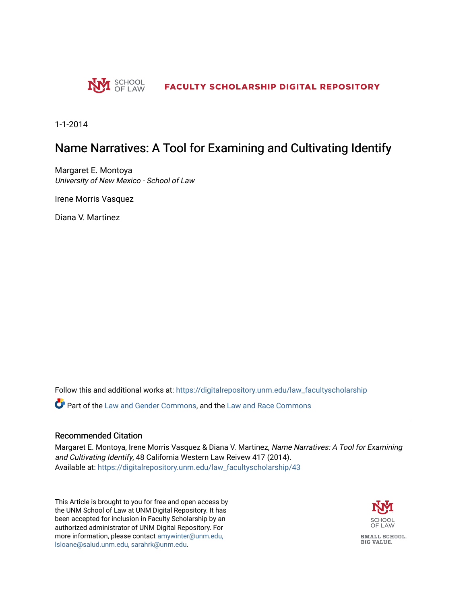

1-1-2014

# Name Narratives: A Tool for Examining and Cultivating Identify

Margaret E. Montoya University of New Mexico - School of Law

Irene Morris Vasquez

Diana V. Martinez

Follow this and additional works at: [https://digitalrepository.unm.edu/law\\_facultyscholarship](https://digitalrepository.unm.edu/law_facultyscholarship?utm_source=digitalrepository.unm.edu%2Flaw_facultyscholarship%2F43&utm_medium=PDF&utm_campaign=PDFCoverPages) 

**C** Part of the [Law and Gender Commons,](http://network.bepress.com/hgg/discipline/1298?utm_source=digitalrepository.unm.edu%2Flaw_facultyscholarship%2F43&utm_medium=PDF&utm_campaign=PDFCoverPages) and the [Law and Race Commons](http://network.bepress.com/hgg/discipline/1300?utm_source=digitalrepository.unm.edu%2Flaw_facultyscholarship%2F43&utm_medium=PDF&utm_campaign=PDFCoverPages)

#### Recommended Citation

Margaret E. Montoya, Irene Morris Vasquez & Diana V. Martinez, Name Narratives: A Tool for Examining and Cultivating Identify, 48 California Western Law Reivew 417 (2014). Available at: [https://digitalrepository.unm.edu/law\\_facultyscholarship/43](https://digitalrepository.unm.edu/law_facultyscholarship/43?utm_source=digitalrepository.unm.edu%2Flaw_facultyscholarship%2F43&utm_medium=PDF&utm_campaign=PDFCoverPages)

This Article is brought to you for free and open access by the UNM School of Law at UNM Digital Repository. It has been accepted for inclusion in Faculty Scholarship by an authorized administrator of UNM Digital Repository. For more information, please contact [amywinter@unm.edu,](mailto:amywinter@unm.edu,%20lsloane@salud.unm.edu,%20sarahrk@unm.edu)  [lsloane@salud.unm.edu, sarahrk@unm.edu.](mailto:amywinter@unm.edu,%20lsloane@salud.unm.edu,%20sarahrk@unm.edu)

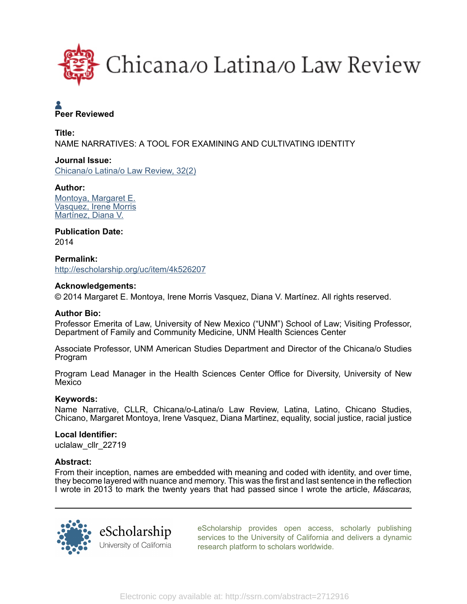

# **A**<br>Peer Reviewed

Title: NAME NARRATIVES: A TOOL FOR EXAMINING AND CULTIVATING IDENTITY

# Journal Issue:

[Chicana/o Latina/o Law Review, 32\(2\)](http://escholarship.org/uc/uclalaw_cllr?volume=32;issue=2)

# Author:

[Montoya, Margaret E.](http://escholarship.org/uc/search?creator=Montoya%2C%20Margaret%20E.) [Vasquez, Irene Morris](http://escholarship.org/uc/search?creator=Vasquez%2C%20Irene%20Morris) [Martínez, Diana V.](http://escholarship.org/uc/search?creator=Mart%C3%ADnez%2C%20Diana%20V.)

# Publication Date:

2014

Permalink: <http://escholarship.org/uc/item/4k526207>

# Acknowledgements:

© 2014 Margaret E. Montoya, Irene Morris Vasquez, Diana V. Martínez. All rights reserved.

# Author Bio:

Professor Emerita of Law, University of New Mexico ("UNM") School of Law; Visiting Professor, Department of Family and Community Medicine, UNM Health Sciences Center

Associate Professor, UNM American Studies Department and Director of the Chicana/o Studies Program

Program Lead Manager in the Health Sciences Center Office for Diversity, University of New Mexico

# Keywords:

Name Narrative, CLLR, Chicana/o-Latina/o Law Review, Latina, Latino, Chicano Studies, Chicano, Margaret Montoya, Irene Vasquez, Diana Martinez, equality, social justice, racial justice

#### Local Identifier:

uclalaw cllr 22719

#### Abstract:

From their inception, names are embedded with meaning and coded with identity, and over time, they become layered with nuance and memory. This was the first and last sentence in the reflection I wrote in 2013 to mark the twenty years that had passed since I wrote the article, *Máscaras,*



[eScholarship provides open access, scholarly publishing](http://escholarship.org) [services to the University of California and delivers a dynamic](http://escholarship.org) [research platform to scholars worldwide.](http://escholarship.org)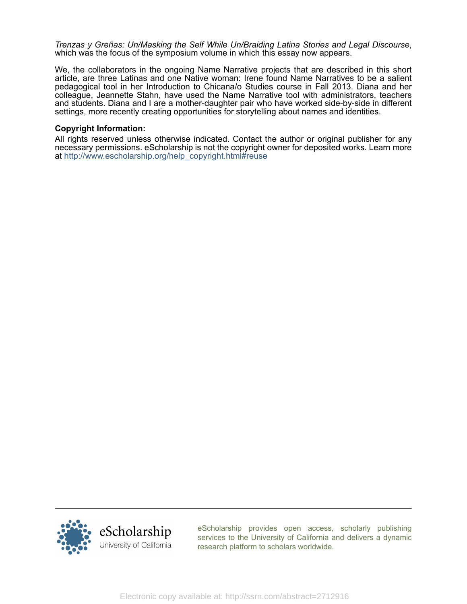*Trenzas y Greñas: Un/Masking the Self While Un/Braiding Latina Stories and Legal Discourse*, which was the focus of the symposium volume in which this essay now appears.

We, the collaborators in the ongoing Name Narrative projects that are described in this short article, are three Latinas and one Native woman: Irene found Name Narratives to be a salient pedagogical tool in her Introduction to Chicana/o Studies course in Fall 2013. Diana and her colleague, Jeannette Stahn, have used the Name Narrative tool with administrators, teachers and students. Diana and I are a mother-daughter pair who have worked side-by-side in different settings, more recently creating opportunities for storytelling about names and identities.

#### Copyright Information:

All rights reserved unless otherwise indicated. Contact the author or original publisher for any necessary permissions. eScholarship is not the copyright owner for deposited works. Learn more at [http://www.escholarship.org/help\\_copyright.html#reuse](http://www.escholarship.org/help_copyright.html#reuse)



[eScholarship provides open access, scholarly publishing](http://escholarship.org) [services to the University of California and delivers a dynamic](http://escholarship.org) [research platform to scholars worldwide.](http://escholarship.org)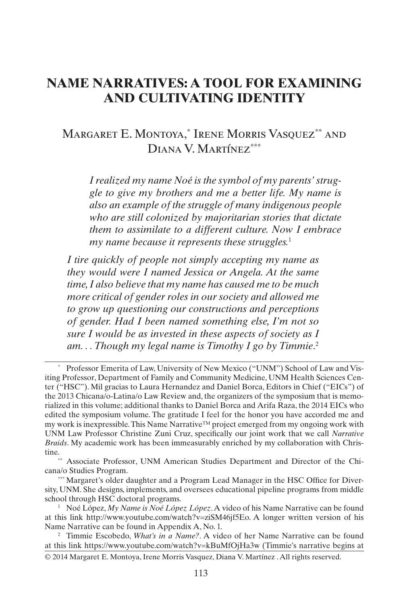# **NAME NARRATIVES: A TOOL FOR EXAMINING AND CULTIVATING IDENTITY**

# Margaret E. Montoya,\* Irene Morris Vasquez\*\* and DIANA V. MARTÍNEZ<sup>\*\*\*</sup>

*I realized my name Noé is the symbol of my parents' struggle to give my brothers and me a better life. My name is also an example of the struggle of many indigenous people who are still colonized by majoritarian stories that dictate them to assimilate to a different culture. Now I embrace my name because it represents these struggles.*<sup>1</sup>

*I tire quickly of people not simply accepting my name as they would were I named Jessica or Angela. At the same time, I also believe that my name has caused me to be much more critical of gender roles in our society and allowed me to grow up questioning our constructions and perceptions of gender. Had I been named something else, I'm not so sure I would be as invested in these aspects of society as I am. . . Though my legal name is Timothy I go by Timmie*. 2

Professor Emerita of Law, University of New Mexico ("UNM") School of Law and Visiting Professor, Department of Family and Community Medicine, UNM Health Sciences Center ("HSC"). Mil gracias to Laura Hernandez and Daniel Borca, Editors in Chief ("EICs") of the 2013 Chicana/o-Latina/o Law Review and, the organizers of the symposium that is memorialized in this volume; additional thanks to Daniel Borca and Arifa Raza, the 2014 EICs who edited the symposium volume. The gratitude I feel for the honor you have accorded me and my work is inexpressible. This Name Narrative™ project emerged from my ongoing work with UNM Law Professor Christine Zuni Cruz, specifically our joint work that we call *Narrative Braids*. My academic work has been immeasurably enriched by my collaboration with Christine.<br>\*\* Associate Professor, UNM American Studies Department and Director of the Chi-

cana/o Studies Program.

<sup>\*\*\*</sup> Margaret's older daughter and a Program Lead Manager in the HSC Office for Diversity, UNM. She designs, implements, and oversees educational pipeline programs from middle school through HSC doctoral programs.

<sup>1</sup> Noé López, *My Name is Noé López López*. A video of his Name Narrative can be found at this link http://www.youtube.com/watch?v=ziSM46jf5Eo. A longer written version of his Name Narrative can be found in Appendix A, No. 1.

<sup>© 2014</sup> Margaret E. Montoya, Irene Morris Vasquez, Diana V. Martínez . All rights reserved. <sup>2</sup> Timmie Escobedo, *What's in a Name?*. A video of her Name Narrative can be found at this link https://www.youtube.com/watch?v=kBuMfOjHa3w (Timmie's narrative begins at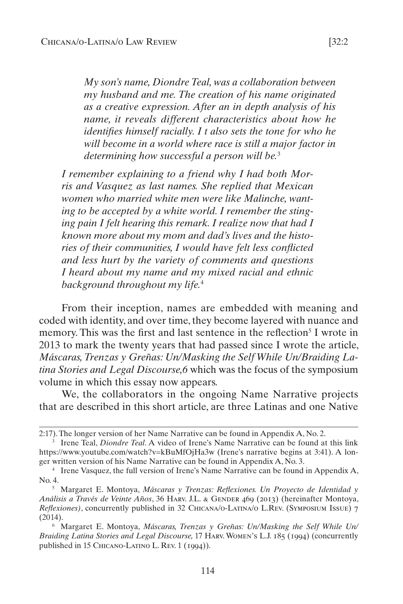*My son's name, Diondre Teal, was a collaboration between my husband and me. The creation of his name originated as a creative expression. After an in depth analysis of his name, it reveals different characteristics about how he identifies himself racially. I t also sets the tone for who he will become in a world where race is still a major factor in determining how successful a person will be.*<sup>3</sup>

*I remember explaining to a friend why I had both Morris and Vasquez as last names. She replied that Mexican women who married white men were like Malinche, wanting to be accepted by a white world. I remember the stinging pain I felt hearing this remark. I realize now that had I known more about my mom and dad's lives and the histories of their communities, I would have felt less conflicted and less hurt by the variety of comments and questions I heard about my name and my mixed racial and ethnic background throughout my life.*<sup>4</sup>

From their inception, names are embedded with meaning and coded with identity, and over time, they become layered with nuance and memory. This was the first and last sentence in the reflection<sup>5</sup> I wrote in 2013 to mark the twenty years that had passed since I wrote the article, *Máscaras, Trenzas y Greñas: Un/Masking the Self While Un/Braiding Latina Stories and Legal Discourse,6* which was the focus of the symposium volume in which this essay now appears.

We, the collaborators in the ongoing Name Narrative projects that are described in this short article, are three Latinas and one Native

<sup>2:17).</sup> The longer version of her Name Narrative can be found in Appendix A, No. 2.

<sup>3</sup> Irene Teal, *Diondre Teal*. A video of Irene's Name Narrative can be found at this link https://www.youtube.com/watch?v=kBuMfOjHa3w (Irene's narrative begins at 3:41). A longer written version of his Name Narrative can be found in Appendix A, No. 3.

<sup>4</sup> Irene Vasquez, the full version of Irene's Name Narrative can be found in Appendix A, No. 4.

<sup>5</sup> Margaret E. Montoya, *Máscaras y Trenzas: Reflexiones. Un Proyecto de Identidad y Análisis a Través de Veinte Años*, 36 Harv. J.L. & Gender 469 (2013) (hereinafter Montoya, *Reflexiones)*, concurrently published in 32 Chicana/o-Latina/o L.Rev. (Symposium Issue) 7 (2014).

<sup>6</sup> Margaret E. Montoya, *Máscaras, Trenzas y Greñas: Un/Masking the Self While Un/ Braiding Latina Stories and Legal Discourse,* 17 Harv. Women's L.J. 185 (1994) (concurrently published in 15 Chicano-Latino L. Rev. 1 (1994)).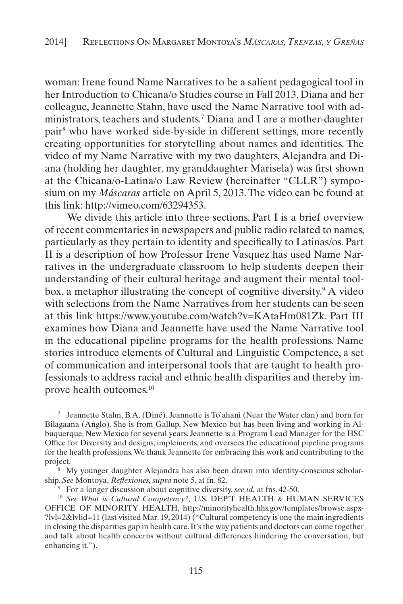woman: Irene found Name Narratives to be a salient pedagogical tool in her Introduction to Chicana/o Studies course in Fall 2013. Diana and her colleague, Jeannette Stahn, have used the Name Narrative tool with administrators, teachers and students.7 Diana and I are a mother-daughter pair8 who have worked side-by-side in different settings, more recently creating opportunities for storytelling about names and identities. The video of my Name Narrative with my two daughters, Alejandra and Diana (holding her daughter, my granddaughter Marisela) was first shown at the Chicana/o-Latina/o Law Review (hereinafter "CLLR") symposium on my *Máscaras* article on April 5, 2013. The video can be found at this link: http://vimeo.com/63294353.

We divide this article into three sections, Part I is a brief overview of recent commentaries in newspapers and public radio related to names, particularly as they pertain to identity and specifically to Latinas/os. Part II is a description of how Professor Irene Vasquez has used Name Narratives in the undergraduate classroom to help students deepen their understanding of their cultural heritage and augment their mental toolbox, a metaphor illustrating the concept of cognitive diversity.9 A video with selections from the Name Narratives from her students can be seen at this link https://www.youtube.com/watch?v=KAtaHm081Zk. Part III examines how Diana and Jeannette have used the Name Narrative tool in the educational pipeline programs for the health professions. Name stories introduce elements of Cultural and Linguistic Competence, a set of communication and interpersonal tools that are taught to health professionals to address racial and ethnic health disparities and thereby improve health outcomes.10

<sup>7</sup> Jeannette Stahn, B.A. (Diné). Jeannette is To'ahani (Near the Water clan) and born for Bilagaana (Anglo). She is from Gallup, New Mexico but has been living and working in Albuquerque, New Mexico for several years. Jeannette is a Program Lead Manager for the HSC Office for Diversity and designs, implements, and oversees the educational pipeline programs for the health professions. We thank Jeannette for embracing this work and contributing to the project.

<sup>8</sup> My younger daughter Alejandra has also been drawn into identity-conscious scholarship. *See* Montoya, *Reflexiones, supra* note 5, at fn. 82.

<sup>9</sup> For a longer discussion about cognitive diversity, *see id.* at fns. 42-50.

<sup>&</sup>lt;sup>10</sup> See What is Cultural Competency?, U.S. DEP'T HEALTH & HUMAN SERVICES OFFICE OF MINORITY HEALTH, http://minorityhealth.hhs.gov/templates/browse.aspx- ?lvl=2&lvlid=11 (last visited Mar. 19, 2014) ("Cultural competency is one the main ingredients in closing the disparities gap in health care. It's the way patients and doctors can come together and talk about health concerns without cultural differences hindering the conversation, but enhancing it.").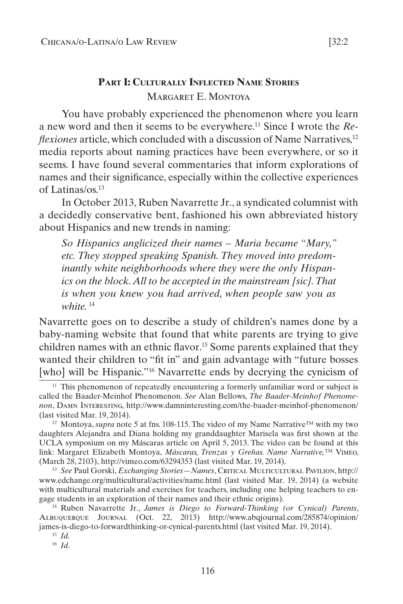# **Part I: Culturally Inflected Name Stories** Margaret E. Montoya

You have probably experienced the phenomenon where you learn a new word and then it seems to be everywhere.11 Since I wrote the *Reflexiones* article, which concluded with a discussion of Name Narratives,<sup>12</sup> media reports about naming practices have been everywhere, or so it seems. I have found several commentaries that inform explorations of names and their significance, especially within the collective experiences of Latinas/os.13

In October 2013, Ruben Navarrette Jr., a syndicated columnist with a decidedly conservative bent, fashioned his own abbreviated history about Hispanics and new trends in naming:

*So Hispanics anglicized their names – Maria became "Mary," etc. They stopped speaking Spanish. They moved into predom*inantly white neighborhoods where they were the only Hispan*ics on the block. All to be accepted in the mainstream [sic]. That is when you knew you had arrived, when people saw you as white.*<sup>14</sup>

Navarrette goes on to describe a study of children's names done by a baby-naming website that found that white parents are trying to give children names with an ethnic flavor.15 Some parents explained that they wanted their children to "fit in" and gain advantage with "future bosses [who] will be Hispanic."<sup>16</sup> Navarrette ends by decrying the cynicism of

<sup>14</sup> Ruben Navarrette Jr., *James is Diego to Forward-Thinking (or Cynical) Parents*, Albuquerque Journal (Oct. 22, 2013) http://www.abqjournal.com/285874/opinion/ james-is-diego-to-forwardthinking-or-cynical-parents.html (last visited Mar. 19, 2014).

<sup>16</sup> *Id.*

 $11$  This phenomenon of repeatedly encountering a formerly unfamiliar word or subject is called the Baader-Meinhof Phenomenon. *See* Alan Bellows, *The Baader-Meinhof Phenomenon*, Damn Interesting, http://www.damninteresting.com/the-baader-meinhof-phenomenon/ (last visited Mar. 19, 2014).

<sup>&</sup>lt;sup>12</sup> Montoya, *supra* note 5 at fns. 108-115. The video of my Name Narrative<sup>™</sup> with my two daughters Alejandra and Diana holding my granddaughter Marisela was first shown at the UCLA symposium on my Máscaras article on April 5, 2013. The video can be found at this link: Margaret Elizabeth Montoya, *Máscaras, Trenzas y Greñas. Name Narrative,™* Vimeo, (March 28, 2103), http://vimeo.com/63294353 (last visited Mar. 19, 2014).

<sup>13</sup> *See* Paul Gorski, *Exchanging Stories—Names*, Critical Multicultural Pavilion, http:// www.edchange.org/multicultural/activities/name.html (last visited Mar. 19, 2014) (a website with multicultural materials and exercises for teachers, including one helping teachers to engage students in an exploration of their names and their ethnic origins).

<sup>15</sup> *Id.*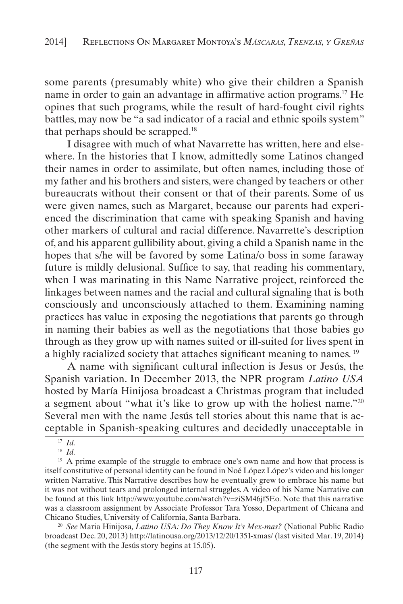some parents (presumably white) who give their children a Spanish name in order to gain an advantage in affirmative action programs.17 He opines that such programs, while the result of hard-fought civil rights battles, may now be "a sad indicator of a racial and ethnic spoils system" that perhaps should be scrapped.18

I disagree with much of what Navarrette has written, here and elsewhere. In the histories that I know, admittedly some Latinos changed their names in order to assimilate, but often names, including those of my father and his brothers and sisters, were changed by teachers or other bureaucrats without their consent or that of their parents. Some of us were given names, such as Margaret, because our parents had experienced the discrimination that came with speaking Spanish and having other markers of cultural and racial difference. Navarrette's description of, and his apparent gullibility about, giving a child a Spanish name in the hopes that s/he will be favored by some Latina/o boss in some faraway future is mildly delusional. Suffice to say, that reading his commentary, when I was marinating in this Name Narrative project, reinforced the linkages between names and the racial and cultural signaling that is both consciously and unconsciously attached to them. Examining naming practices has value in exposing the negotiations that parents go through in naming their babies as well as the negotiations that those babies go through as they grow up with names suited or ill-suited for lives spent in a highly racialized society that attaches significant meaning to names. 19

A name with significant cultural inflection is Jesus or Jesús, the Spanish variation. In December 2013, the NPR program *Latino USA*  hosted by María Hinijosa broadcast a Christmas program that included a segment about "what it's like to grow up with the holiest name."20 Several men with the name Jesús tell stories about this name that is acceptable in Spanish-speaking cultures and decidedly unacceptable in

<sup>20</sup> *See* Maria Hinijosa*, Latino USA: Do They Know It's Mex-mas?* (National Public Radio broadcast Dec. 20, 2013) http://latinousa.org/2013/12/20/1351-xmas/ (last visited Mar. 19, 2014) (the segment with the Jesús story begins at 15.05).

<sup>17</sup> *Id.*

<sup>18</sup> *Id.*

<sup>&</sup>lt;sup>19</sup> A prime example of the struggle to embrace one's own name and how that process is itself constitutive of personal identity can be found in Noé López López's video and his longer written Narrative. This Narrative describes how he eventually grew to embrace his name but it was not without tears and prolonged internal struggles. A video of his Name Narrative can be found at this link http://www.youtube.com/watch?v=ziSM46jf5Eo. Note that this narrative was a classroom assignment by Associate Professor Tara Yosso, Department of Chicana and Chicano Studies, University of California, Santa Barbara.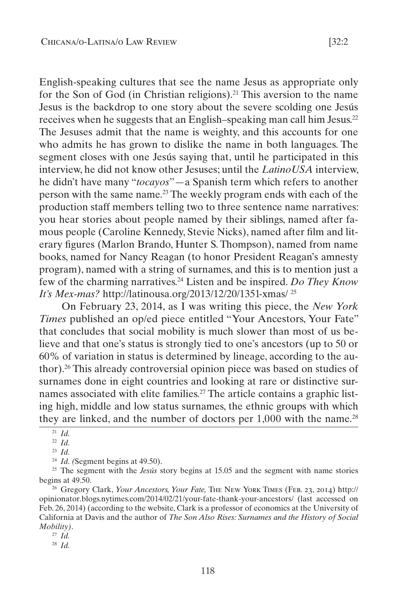English-speaking cultures that see the name Jesus as appropriate only for the Son of God (in Christian religions).21 This aversion to the name Jesus is the backdrop to one story about the severe scolding one Jesús receives when he suggests that an English–speaking man call him Jesus.22 The Jesuses admit that the name is weighty, and this accounts for one who admits he has grown to dislike the name in both languages. The segment closes with one Jesús saying that, until he participated in this interview, he did not know other Jesuses; until the *LatinoUSA* interview, he didn't have many "*tocayos*"—a Spanish term which refers to another person with the same name.23 The weekly program ends with each of the production staff members telling two to three sentence name narratives: you hear stories about people named by their siblings, named after famous people (Caroline Kennedy, Stevie Nicks), named after film and literary figures (Marlon Brando, Hunter S. Thompson), named from name books, named for Nancy Reagan (to honor President Reagan's amnesty program), named with a string of surnames, and this is to mention just a few of the charming narratives.24 Listen and be inspired. *Do They Know It's Mex-mas?* http://latinousa.org/2013/12/20/1351-xmas/ 25

On February 23, 2014, as I was writing this piece, the *New York Times* published an op/ed piece entitled "Your Ancestors, Your Fate" that concludes that social mobility is much slower than most of us believe and that one's status is strongly tied to one's ancestors (up to 50 or 60% of variation in status is determined by lineage, according to the author).26 This already controversial opinion piece was based on studies of surnames done in eight countries and looking at rare or distinctive surnames associated with elite families.<sup>27</sup> The article contains a graphic listing high, middle and low status surnames, the ethnic groups with which they are linked, and the number of doctors per  $1,000$  with the name.<sup>28</sup>

<sup>26</sup> Gregory Clark, *Your Ancestors, Your Fate, THE NEW YORK TIMES* (FEB. 23, 2014) http:// opinionator.blogs.nytimes.com/2014/02/21/your-fate-thank-your-ancestors/ (last accessed on Feb. 26, 2014) (according to the website, Clark is a professor of economics at the University of California at Davis and the author of *The Son Also Rises: Surnames and the History of Social Mobility)*.

<sup>21</sup> *Id.*

<sup>22</sup> *Id.*

<sup>23</sup> *Id.*

<sup>&</sup>lt;sup>24</sup> *Id.* (Segment begins at 49.50).

<sup>25</sup> The segment with the *Jesús* story begins at 15.05 and the segment with name stories begins at 49.50.

<sup>27</sup> *Id.*

<sup>28</sup> *Id.*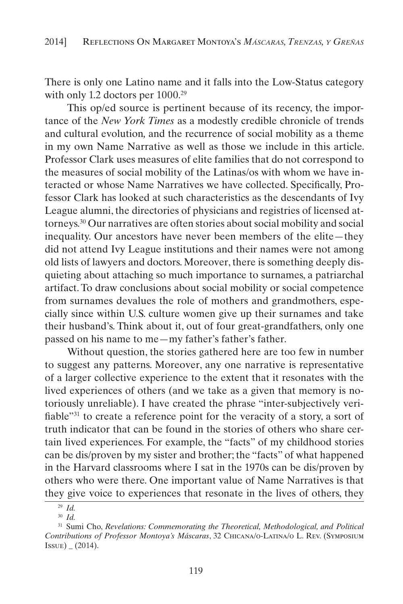There is only one Latino name and it falls into the Low-Status category with only 1.2 doctors per  $1000.^{29}$ 

This op/ed source is pertinent because of its recency, the importance of the *New York Times* as a modestly credible chronicle of trends and cultural evolution*,* and the recurrence of social mobility as a theme in my own Name Narrative as well as those we include in this article. Professor Clark uses measures of elite families that do not correspond to the measures of social mobility of the Latinas/os with whom we have interacted or whose Name Narratives we have collected. Specifically, Professor Clark has looked at such characteristics as the descendants of Ivy League alumni, the directories of physicians and registries of licensed attorneys.30 Our narratives are often stories about social mobility and social inequality. Our ancestors have never been members of the elite—they did not attend Ivy League institutions and their names were not among old lists of lawyers and doctors. Moreover, there is something deeply disquieting about attaching so much importance to surnames, a patriarchal artifact. To draw conclusions about social mobility or social competence from surnames devalues the role of mothers and grandmothers, especially since within U.S. culture women give up their surnames and take their husband's. Think about it, out of four great-grandfathers, only one passed on his name to me—my father's father's father.

Without question, the stories gathered here are too few in number to suggest any patterns. Moreover, any one narrative is representative of a larger collective experience to the extent that it resonates with the lived experiences of others (and we take as a given that memory is notoriously unreliable). I have created the phrase "inter-subjectively verifiable"31 to create a reference point for the veracity of a story, a sort of truth indicator that can be found in the stories of others who share certain lived experiences. For example, the "facts" of my childhood stories can be dis/proven by my sister and brother; the "facts" of what happened in the Harvard classrooms where I sat in the 1970s can be dis/proven by others who were there. One important value of Name Narratives is that they give voice to experiences that resonate in the lives of others, they

<sup>29</sup> *Id.*

<sup>30</sup> *Id.*

<sup>31</sup> Sumi Cho, *Revelations: Commemorating the Theoretical, Methodological, and Political Contributions of Professor Montoya's Máscaras*, 32 Chicana/o-Latina/o L. Rev. (Symposium  $|{\rm Issue}| = (2014).$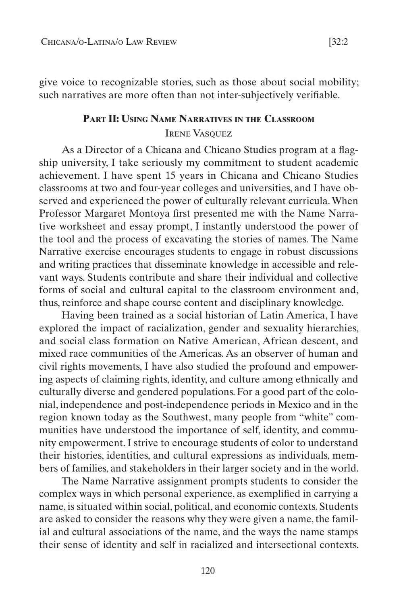give voice to recognizable stories, such as those about social mobility; such narratives are more often than not inter-subjectively verifiable.

# **Part II: Using Name Narratives in the Classroom** Irene Vasquez

As a Director of a Chicana and Chicano Studies program at a flagship university, I take seriously my commitment to student academic achievement. I have spent 15 years in Chicana and Chicano Studies classrooms at two and four-year colleges and universities, and I have observed and experienced the power of culturally relevant curricula. When Professor Margaret Montoya first presented me with the Name Narrative worksheet and essay prompt, I instantly understood the power of the tool and the process of excavating the stories of names. The Name Narrative exercise encourages students to engage in robust discussions and writing practices that disseminate knowledge in accessible and relevant ways. Students contribute and share their individual and collective forms of social and cultural capital to the classroom environment and, thus, reinforce and shape course content and disciplinary knowledge.

Having been trained as a social historian of Latin America, I have explored the impact of racialization, gender and sexuality hierarchies, and social class formation on Native American, African descent, and mixed race communities of the Americas. As an observer of human and civil rights movements, I have also studied the profound and empowering aspects of claiming rights, identity, and culture among ethnically and culturally diverse and gendered populations. For a good part of the colonial, independence and post-independence periods in Mexico and in the region known today as the Southwest, many people from "white" communities have understood the importance of self, identity, and community empowerment. I strive to encourage students of color to understand their histories, identities, and cultural expressions as individuals, members of families, and stakeholders in their larger society and in the world.

The Name Narrative assignment prompts students to consider the complex ways in which personal experience, as exemplified in carrying a name, is situated within social, political, and economic contexts. Students are asked to consider the reasons why they were given a name, the familial and cultural associations of the name, and the ways the name stamps their sense of identity and self in racialized and intersectional contexts.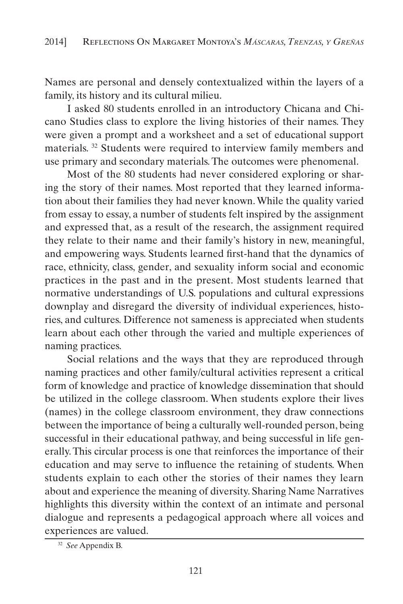Names are personal and densely contextualized within the layers of a family, its history and its cultural milieu.

I asked 80 students enrolled in an introductory Chicana and Chicano Studies class to explore the living histories of their names. They were given a prompt and a worksheet and a set of educational support materials. 32 Students were required to interview family members and use primary and secondary materials. The outcomes were phenomenal.

Most of the 80 students had never considered exploring or sharing the story of their names. Most reported that they learned information about their families they had never known. While the quality varied from essay to essay, a number of students felt inspired by the assignment and expressed that, as a result of the research, the assignment required they relate to their name and their family's history in new, meaningful, and empowering ways. Students learned first-hand that the dynamics of race, ethnicity, class, gender, and sexuality inform social and economic practices in the past and in the present. Most students learned that normative understandings of U.S. populations and cultural expressions downplay and disregard the diversity of individual experiences, histories, and cultures. Difference not sameness is appreciated when students learn about each other through the varied and multiple experiences of naming practices.

Social relations and the ways that they are reproduced through naming practices and other family/cultural activities represent a critical form of knowledge and practice of knowledge dissemination that should be utilized in the college classroom. When students explore their lives (names) in the college classroom environment, they draw connections between the importance of being a culturally well-rounded person, being successful in their educational pathway, and being successful in life generally. This circular process is one that reinforces the importance of their education and may serve to influence the retaining of students. When students explain to each other the stories of their names they learn about and experience the meaning of diversity. Sharing Name Narratives highlights this diversity within the context of an intimate and personal dialogue and represents a pedagogical approach where all voices and experiences are valued.

<sup>32</sup> *See* Appendix B.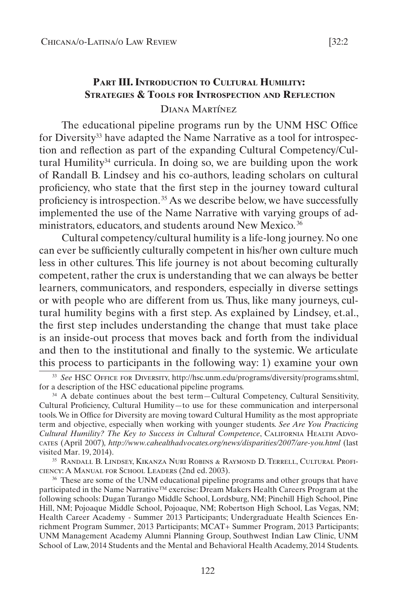# **Part III. Introduction to Cultural Humility: Strategies & Tools for Introspection and Reflection** Diana Martínez

The educational pipeline programs run by the UNM HSC Office for Diversity<sup>33</sup> have adapted the Name Narrative as a tool for introspection and reflection as part of the expanding Cultural Competency/Cultural Humility<sup>34</sup> curricula. In doing so, we are building upon the work of Randall B. Lindsey and his co-authors, leading scholars on cultural proficiency, who state that the first step in the journey toward cultural proficiency is introspection. 35 As we describe below, we have successfully implemented the use of the Name Narrative with varying groups of administrators, educators, and students around New Mexico. 36

Cultural competency/cultural humility is a life-long journey. No one can ever be sufficiently culturally competent in his/her own culture much less in other cultures. This life journey is not about becoming culturally competent, rather the crux is understanding that we can always be better learners, communicators, and responders, especially in diverse settings or with people who are different from us. Thus, like many journeys, cultural humility begins with a first step. As explained by Lindsey, et.al., the first step includes understanding the change that must take place is an inside-out process that moves back and forth from the individual and then to the institutional and finally to the systemic. We articulate this process to participants in the following way: 1) examine your own

<sup>33</sup> *See* HSC Office for Diversity, http://hsc.unm.edu/programs/diversity/programs.shtml, for a description of the HSC educational pipeline programs.

<sup>34</sup> A debate continues about the best term—Cultural Competency, Cultural Sensitivity, Cultural Proficiency, Cultural Humility—to use for these communication and interpersonal tools. We in Office for Diversity are moving toward Cultural Humility as the most appropriate term and objective, especially when working with younger students. *See Are You Practicing Cultural Humility? The Key to Success in Cultural Competence*, CALIFORNIA HEALTH ADVOcates (April 2007)*, http://www.cahealthadvocates.org/news/disparities/2007/are-you.html* (last visited Mar. 19, 2014).

<sup>35</sup> Randall B. Lindsey, Kikanza Nuri Robins & Raymond D. Terrell, Cultural Proficiency: A Manual for School Leaders (2nd ed. 2003).

<sup>36</sup> These are some of the UNM educational pipeline programs and other groups that have participated in the Name Narrative™ exercise: Dream Makers Health Careers Program at the following schools: Dugan Turango Middle School, Lordsburg, NM; Pinehill High School, Pine Hill, NM; Pojoaque Middle School, Pojoaque, NM; Robertson High School, Las Vegas, NM; Health Career Academy - Summer 2013 Participants; Undergraduate Health Sciences Enrichment Program Summer, 2013 Participants; MCAT+ Summer Program, 2013 Participants; UNM Management Academy Alumni Planning Group, Southwest Indian Law Clinic, UNM School of Law, 2014 Students and the Mental and Behavioral Health Academy, 2014 Students.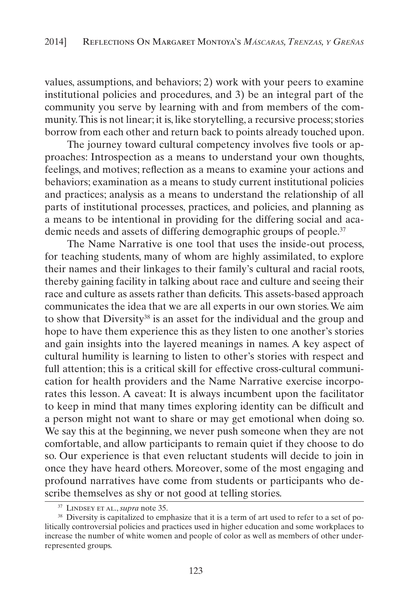values, assumptions, and behaviors; 2) work with your peers to examine institutional policies and procedures, and 3) be an integral part of the community you serve by learning with and from members of the community. This is not linear; it is, like storytelling, a recursive process; stories borrow from each other and return back to points already touched upon.

The journey toward cultural competency involves five tools or approaches: Introspection as a means to understand your own thoughts, feelings, and motives; reflection as a means to examine your actions and behaviors; examination as a means to study current institutional policies and practices; analysis as a means to understand the relationship of all parts of institutional processes, practices, and policies, and planning as a means to be intentional in providing for the differing social and academic needs and assets of differing demographic groups of people.<sup>37</sup>

The Name Narrative is one tool that uses the inside-out process, for teaching students, many of whom are highly assimilated, to explore their names and their linkages to their family's cultural and racial roots, thereby gaining facility in talking about race and culture and seeing their race and culture as assets rather than deficits. This assets-based approach communicates the idea that we are all experts in our own stories. We aim to show that Diversity38 is an asset for the individual and the group and hope to have them experience this as they listen to one another's stories and gain insights into the layered meanings in names. A key aspect of cultural humility is learning to listen to other's stories with respect and full attention; this is a critical skill for effective cross-cultural communication for health providers and the Name Narrative exercise incorporates this lesson. A caveat: It is always incumbent upon the facilitator to keep in mind that many times exploring identity can be difficult and a person might not want to share or may get emotional when doing so. We say this at the beginning, we never push someone when they are not comfortable, and allow participants to remain quiet if they choose to do so. Our experience is that even reluctant students will decide to join in once they have heard others. Moreover, some of the most engaging and profound narratives have come from students or participants who describe themselves as shy or not good at telling stories.

<sup>37</sup> Lindsey et al., *supra* note 35.

<sup>&</sup>lt;sup>38</sup> Diversity is capitalized to emphasize that it is a term of art used to refer to a set of politically controversial policies and practices used in higher education and some workplaces to increase the number of white women and people of color as well as members of other underrepresented groups.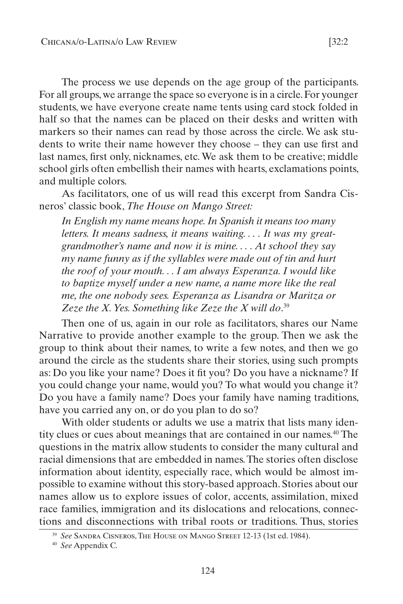The process we use depends on the age group of the participants. For all groups, we arrange the space so everyone is in a circle. For younger students, we have everyone create name tents using card stock folded in half so that the names can be placed on their desks and written with markers so their names can read by those across the circle. We ask students to write their name however they choose – they can use first and last names, first only, nicknames, etc. We ask them to be creative; middle school girls often embellish their names with hearts, exclamations points, and multiple colors.

As facilitators, one of us will read this excerpt from Sandra Cisneros' classic book, *The House on Mango Street:*

*In English my name means hope. In Spanish it means too many letters. It means sadness, it means waiting. . . . It was my greatgrandmother's name and now it is mine. . . . At school they say my name funny as if the syllables were made out of tin and hurt the roof of your mouth. . . I am always Esperanza. I would like to baptize myself under a new name, a name more like the real me, the one nobody sees. Esperanza as Lisandra or Maritza or Zeze the X. Yes. Something like Zeze the X will do*. 39

Then one of us, again in our role as facilitators, shares our Name Narrative to provide another example to the group. Then we ask the group to think about their names, to write a few notes, and then we go around the circle as the students share their stories, using such prompts as: Do you like your name? Does it fit you? Do you have a nickname? If you could change your name, would you? To what would you change it? Do you have a family name? Does your family have naming traditions, have you carried any on, or do you plan to do so?

With older students or adults we use a matrix that lists many identity clues or cues about meanings that are contained in our names.40 The questions in the matrix allow students to consider the many cultural and racial dimensions that are embedded in names. The stories often disclose information about identity, especially race, which would be almost impossible to examine without this story-based approach. Stories about our names allow us to explore issues of color, accents, assimilation, mixed race families, immigration and its dislocations and relocations, connections and disconnections with tribal roots or traditions. Thus, stories

<sup>39</sup> *See* Sandra Cisneros,The House on Mango Street 12-13 (1st ed. 1984).

<sup>40</sup> *See* Appendix C.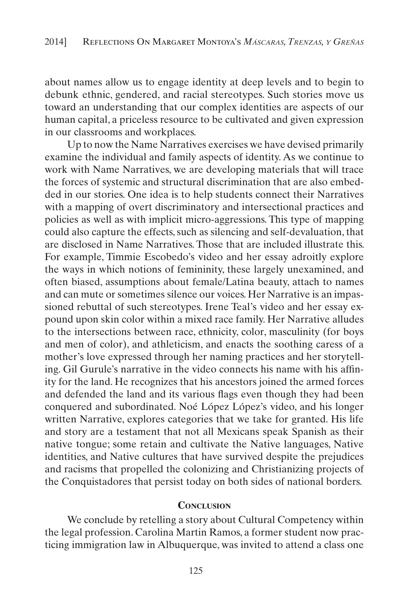about names allow us to engage identity at deep levels and to begin to debunk ethnic, gendered, and racial stereotypes. Such stories move us toward an understanding that our complex identities are aspects of our human capital, a priceless resource to be cultivated and given expression in our classrooms and workplaces.

Up to now the Name Narratives exercises we have devised primarily examine the individual and family aspects of identity. As we continue to work with Name Narratives, we are developing materials that will trace the forces of systemic and structural discrimination that are also embedded in our stories. One idea is to help students connect their Narratives with a mapping of overt discriminatory and intersectional practices and policies as well as with implicit micro-aggressions. This type of mapping could also capture the effects, such as silencing and self-devaluation, that are disclosed in Name Narratives. Those that are included illustrate this. For example, Timmie Escobedo's video and her essay adroitly explore the ways in which notions of femininity, these largely unexamined, and often biased, assumptions about female/Latina beauty, attach to names and can mute or sometimes silence our voices. Her Narrative is an impassioned rebuttal of such stereotypes. Irene Teal's video and her essay expound upon skin color within a mixed race family. Her Narrative alludes to the intersections between race, ethnicity, color, masculinity (for boys and men of color), and athleticism, and enacts the soothing caress of a mother's love expressed through her naming practices and her storytelling. Gil Gurule's narrative in the video connects his name with his affinity for the land. He recognizes that his ancestors joined the armed forces and defended the land and its various flags even though they had been conquered and subordinated. Noé López López's video, and his longer written Narrative, explores categories that we take for granted. His life and story are a testament that not all Mexicans speak Spanish as their native tongue; some retain and cultivate the Native languages, Native identities, and Native cultures that have survived despite the prejudices and racisms that propelled the colonizing and Christianizing projects of the Conquistadores that persist today on both sides of national borders.

#### **Conclusion**

We conclude by retelling a story about Cultural Competency within the legal profession. Carolina Martin Ramos, a former student now practicing immigration law in Albuquerque, was invited to attend a class one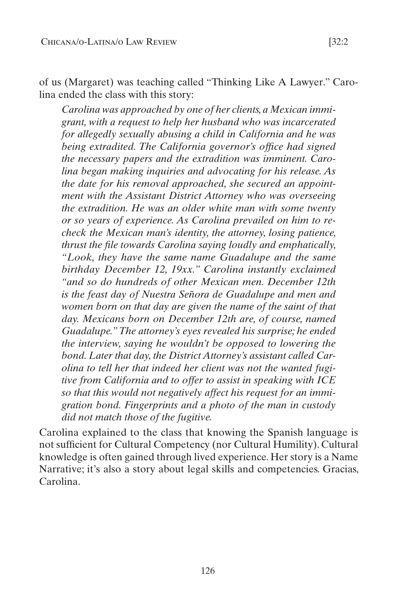of us (Margaret) was teaching called "Thinking Like A Lawyer." Carolina ended the class with this story:

*Carolina was approached by one of her clients, a Mexican immigrant, with a request to help her husband who was incarcerated for allegedly sexually abusing a child in California and he was being extradited. The California governor's office had signed the necessary papers and the extradition was imminent. Carolina began making inquiries and advocating for his release. As the date for his removal approached, she secured an appointment with the Assistant District Attorney who was overseeing the extradition. He was an older white man with some twenty or so years of experience. As Carolina prevailed on him to recheck the Mexican man's identity, the attorney, losing patience, thrust the file towards Carolina saying loudly and emphatically, "Look, they have the same name Guadalupe and the same birthday December 12, 19xx." Carolina instantly exclaimed "and so do hundreds of other Mexican men. December 12th is the feast day of Nuestra Señora de Guadalupe and men and women born on that day are given the name of the saint of that day. Mexicans born on December 12th are, of course, named Guadalupe." The attorney's eyes revealed his surprise; he ended the interview, saying he wouldn't be opposed to lowering the bond. Later that day, the District Attorney's assistant called Carolina to tell her that indeed her client was not the wanted fugitive from California and to offer to assist in speaking with ICE so that this would not negatively affect his request for an immigration bond. Fingerprints and a photo of the man in custody did not match those of the fugitive.*

Carolina explained to the class that knowing the Spanish language is not sufficient for Cultural Competency (nor Cultural Humility). Cultural knowledge is often gained through lived experience. Her story is a Name Narrative; it's also a story about legal skills and competencies. Gracias, Carolina.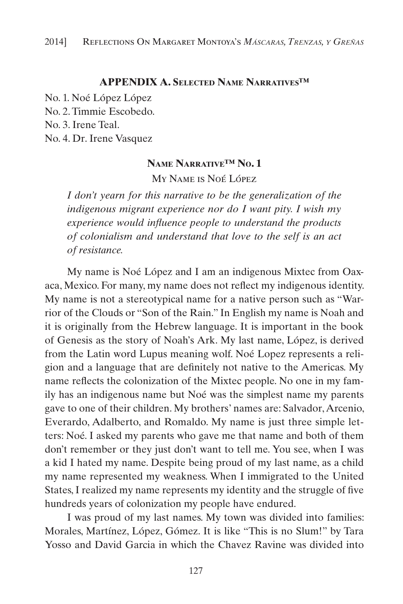# **APPENDIX A. Selected Name Narratives™**

No. 1. Noé López López No. 2. Timmie Escobedo. No. 3. Irene Teal.

No. 4. Dr. Irene Vasquez

#### **Name Narrative™ No. 1**

My Name is Noé López

*I don't yearn for this narrative to be the generalization of the indigenous migrant experience nor do I want pity. I wish my experience would influence people to understand the products of colonialism and understand that love to the self is an act of resistance.*

My name is Noé López and I am an indigenous Mixtec from Oaxaca, Mexico. For many, my name does not reflect my indigenous identity. My name is not a stereotypical name for a native person such as "Warrior of the Clouds or "Son of the Rain." In English my name is Noah and it is originally from the Hebrew language. It is important in the book of Genesis as the story of Noah's Ark. My last name, López, is derived from the Latin word Lupus meaning wolf. Noé Lopez represents a religion and a language that are definitely not native to the Americas. My name reflects the colonization of the Mixtec people. No one in my family has an indigenous name but Noé was the simplest name my parents gave to one of their children. My brothers' names are: Salvador, Arcenio, Everardo, Adalberto, and Romaldo. My name is just three simple letters: Noé. I asked my parents who gave me that name and both of them don't remember or they just don't want to tell me. You see, when I was a kid I hated my name. Despite being proud of my last name, as a child my name represented my weakness. When I immigrated to the United States, I realized my name represents my identity and the struggle of five hundreds years of colonization my people have endured.

I was proud of my last names. My town was divided into families: Morales, Martínez, López, Gómez. It is like "This is no Slum!" by Tara Yosso and David Garcia in which the Chavez Ravine was divided into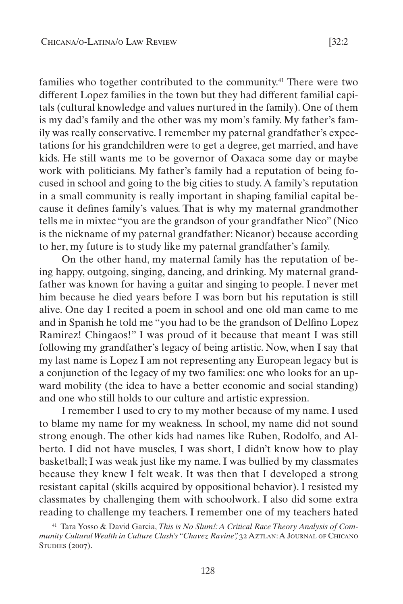families who together contributed to the community.41 There were two different Lopez families in the town but they had different familial capitals (cultural knowledge and values nurtured in the family). One of them is my dad's family and the other was my mom's family. My father's family was really conservative. I remember my paternal grandfather's expectations for his grandchildren were to get a degree, get married, and have kids. He still wants me to be governor of Oaxaca some day or maybe work with politicians. My father's family had a reputation of being focused in school and going to the big cities to study. A family's reputation in a small community is really important in shaping familial capital because it defines family's values. That is why my maternal grandmother tells me in mixtec "you are the grandson of your grandfather Nico" (Nico is the nickname of my paternal grandfather: Nicanor) because according to her, my future is to study like my paternal grandfather's family.

On the other hand, my maternal family has the reputation of being happy, outgoing, singing, dancing, and drinking. My maternal grandfather was known for having a guitar and singing to people. I never met him because he died years before I was born but his reputation is still alive. One day I recited a poem in school and one old man came to me and in Spanish he told me "you had to be the grandson of Delfino Lopez Ramirez! Chingaos!" I was proud of it because that meant I was still following my grandfather's legacy of being artistic. Now, when I say that my last name is Lopez I am not representing any European legacy but is a conjunction of the legacy of my two families: one who looks for an upward mobility (the idea to have a better economic and social standing) and one who still holds to our culture and artistic expression.

I remember I used to cry to my mother because of my name. I used to blame my name for my weakness. In school, my name did not sound strong enough. The other kids had names like Ruben, Rodolfo, and Alberto. I did not have muscles, I was short, I didn't know how to play basketball; I was weak just like my name. I was bullied by my classmates because they knew I felt weak. It was then that I developed a strong resistant capital (skills acquired by oppositional behavior). I resisted my classmates by challenging them with schoolwork. I also did some extra reading to challenge my teachers. I remember one of my teachers hated

128

<sup>41</sup> Tara Yosso & David Garcia, *This is No Slum!: A Critical Race Theory Analysis of Community Cultural Wealth in Culture Clash's "Chavez Ravine",* 32 Aztlan: A Journal of Chicano STUDIES (2007).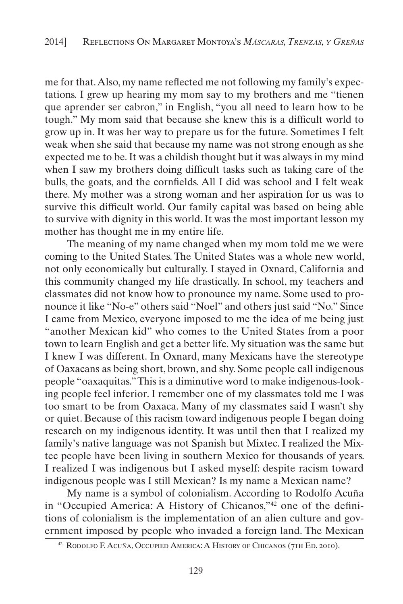me for that. Also, my name reflected me not following my family's expectations. I grew up hearing my mom say to my brothers and me "tienen que aprender ser cabron," in English, "you all need to learn how to be tough." My mom said that because she knew this is a difficult world to grow up in. It was her way to prepare us for the future. Sometimes I felt weak when she said that because my name was not strong enough as she expected me to be. It was a childish thought but it was always in my mind when I saw my brothers doing difficult tasks such as taking care of the bulls, the goats, and the cornfields. All I did was school and I felt weak there. My mother was a strong woman and her aspiration for us was to survive this difficult world. Our family capital was based on being able to survive with dignity in this world. It was the most important lesson my mother has thought me in my entire life.

The meaning of my name changed when my mom told me we were coming to the United States. The United States was a whole new world, not only economically but culturally. I stayed in Oxnard, California and this community changed my life drastically. In school, my teachers and classmates did not know how to pronounce my name. Some used to pronounce it like "No-e" others said "Noel" and others just said "No." Since I came from Mexico, everyone imposed to me the idea of me being just "another Mexican kid" who comes to the United States from a poor town to learn English and get a better life. My situation was the same but I knew I was different. In Oxnard, many Mexicans have the stereotype of Oaxacans as being short, brown, and shy. Some people call indigenous people "oaxaquitas." This is a diminutive word to make indigenous-looking people feel inferior. I remember one of my classmates told me I was too smart to be from Oaxaca. Many of my classmates said I wasn't shy or quiet. Because of this racism toward indigenous people I began doing research on my indigenous identity. It was until then that I realized my family's native language was not Spanish but Mixtec. I realized the Mixtec people have been living in southern Mexico for thousands of years. I realized I was indigenous but I asked myself: despite racism toward indigenous people was I still Mexican? Is my name a Mexican name?

My name is a symbol of colonialism. According to Rodolfo Acuña in "Occupied America: A History of Chicanos,"42 one of the definitions of colonialism is the implementation of an alien culture and government imposed by people who invaded a foreign land. The Mexican

<sup>42</sup> Rodolfo F. Acuña, Occupied America: A History of Chicanos (7th Ed. 2010).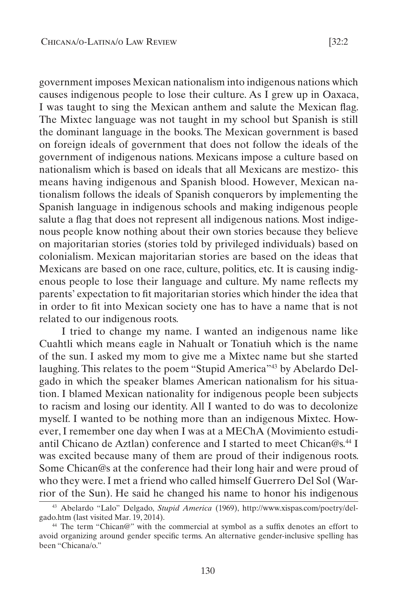government imposes Mexican nationalism into indigenous nations which causes indigenous people to lose their culture. As I grew up in Oaxaca, I was taught to sing the Mexican anthem and salute the Mexican flag. The Mixtec language was not taught in my school but Spanish is still the dominant language in the books. The Mexican government is based on foreign ideals of government that does not follow the ideals of the government of indigenous nations. Mexicans impose a culture based on nationalism which is based on ideals that all Mexicans are mestizo- this means having indigenous and Spanish blood. However, Mexican nationalism follows the ideals of Spanish conquerors by implementing the Spanish language in indigenous schools and making indigenous people salute a flag that does not represent all indigenous nations. Most indigenous people know nothing about their own stories because they believe on majoritarian stories (stories told by privileged individuals) based on colonialism. Mexican majoritarian stories are based on the ideas that Mexicans are based on one race, culture, politics, etc. It is causing indigenous people to lose their language and culture. My name reflects my parents' expectation to fit majoritarian stories which hinder the idea that in order to fit into Mexican society one has to have a name that is not related to our indigenous roots.

I tried to change my name. I wanted an indigenous name like Cuahtli which means eagle in Nahualt or Tonatiuh which is the name of the sun. I asked my mom to give me a Mixtec name but she started laughing. This relates to the poem "Stupid America"43 by Abelardo Delgado in which the speaker blames American nationalism for his situation. I blamed Mexican nationality for indigenous people been subjects to racism and losing our identity. All I wanted to do was to decolonize myself. I wanted to be nothing more than an indigenous Mixtec. However, I remember one day when I was at a MEChA (Movimiento estudiantil Chicano de Aztlan) conference and I started to meet Chican@s.44 I was excited because many of them are proud of their indigenous roots. Some Chican@s at the conference had their long hair and were proud of who they were. I met a friend who called himself Guerrero Del Sol (Warrior of the Sun). He said he changed his name to honor his indigenous

<sup>43</sup> Abelardo "Lalo" Delgado, *Stupid America* (1969), http://www.xispas.com/poetry/delgado.htm (last visited Mar. 19, 2014).

<sup>44</sup> The term "Chican@" with the commercial at symbol as a suffix denotes an effort to avoid organizing around gender specific terms. An alternative gender-inclusive spelling has been "Chicana/o."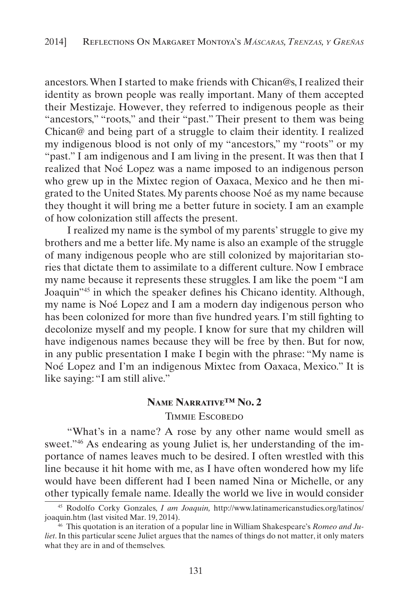ancestors. When I started to make friends with Chican@s, I realized their identity as brown people was really important. Many of them accepted their Mestizaje. However, they referred to indigenous people as their "ancestors," "roots," and their "past." Their present to them was being Chican@ and being part of a struggle to claim their identity. I realized my indigenous blood is not only of my "ancestors," my "roots" or my "past." I am indigenous and I am living in the present. It was then that I realized that Noé Lopez was a name imposed to an indigenous person who grew up in the Mixtec region of Oaxaca, Mexico and he then migrated to the United States. My parents choose Noé as my name because they thought it will bring me a better future in society. I am an example of how colonization still affects the present.

I realized my name is the symbol of my parents' struggle to give my brothers and me a better life. My name is also an example of the struggle of many indigenous people who are still colonized by majoritarian stories that dictate them to assimilate to a different culture. Now I embrace my name because it represents these struggles. I am like the poem "I am Joaquin"45 in which the speaker defines his Chicano identity. Although, my name is Noé Lopez and I am a modern day indigenous person who has been colonized for more than five hundred years. I'm still fighting to decolonize myself and my people. I know for sure that my children will have indigenous names because they will be free by then. But for now, in any public presentation I make I begin with the phrase: "My name is Noé Lopez and I'm an indigenous Mixtec from Oaxaca, Mexico." It is like saying: "I am still alive."

#### **Name Narrative™ No. 2**

#### Timmie Escobedo

"What's in a name? A rose by any other name would smell as sweet."46 As endearing as young Juliet is, her understanding of the importance of names leaves much to be desired. I often wrestled with this line because it hit home with me, as I have often wondered how my life would have been different had I been named Nina or Michelle, or any other typically female name. Ideally the world we live in would consider

<sup>45</sup> Rodolfo Corky Gonzales, *I am Joaquin,* http://www.latinamericanstudies.org/latinos/ joaquin.htm (last visited Mar. 19, 2014).

<sup>&</sup>lt;sup>46</sup> This quotation is an iteration of a popular line in William Shakespeare's *Romeo and Juliet*. In this particular scene Juliet argues that the names of things do not matter, it only maters what they are in and of themselves.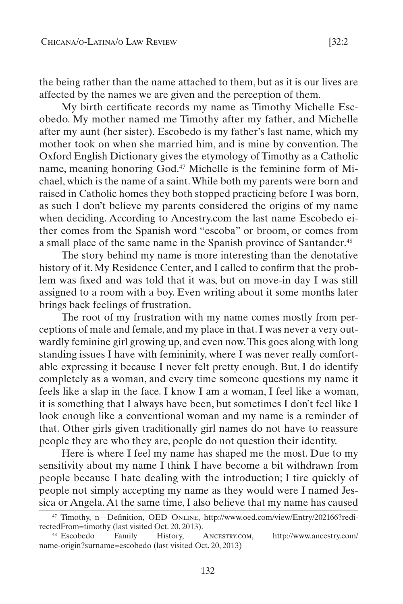the being rather than the name attached to them, but as it is our lives are affected by the names we are given and the perception of them.

My birth certificate records my name as Timothy Michelle Escobedo. My mother named me Timothy after my father, and Michelle after my aunt (her sister). Escobedo is my father's last name, which my mother took on when she married him, and is mine by convention. The Oxford English Dictionary gives the etymology of Timothy as a Catholic name, meaning honoring God.47 Michelle is the feminine form of Michael, which is the name of a saint. While both my parents were born and raised in Catholic homes they both stopped practicing before I was born, as such I don't believe my parents considered the origins of my name when deciding. According to Ancestry.com the last name Escobedo either comes from the Spanish word "escoba" or broom, or comes from a small place of the same name in the Spanish province of Santander.<sup>48</sup>

The story behind my name is more interesting than the denotative history of it. My Residence Center, and I called to confirm that the problem was fixed and was told that it was, but on move-in day I was still assigned to a room with a boy. Even writing about it some months later brings back feelings of frustration.

The root of my frustration with my name comes mostly from perceptions of male and female, and my place in that. I was never a very outwardly feminine girl growing up, and even now. This goes along with long standing issues I have with femininity, where I was never really comfortable expressing it because I never felt pretty enough. But, I do identify completely as a woman, and every time someone questions my name it feels like a slap in the face. I know I am a woman, I feel like a woman, it is something that I always have been, but sometimes I don't feel like I look enough like a conventional woman and my name is a reminder of that. Other girls given traditionally girl names do not have to reassure people they are who they are, people do not question their identity.

Here is where I feel my name has shaped me the most. Due to my sensitivity about my name I think I have become a bit withdrawn from people because I hate dealing with the introduction; I tire quickly of people not simply accepting my name as they would were I named Jessica or Angela. At the same time, I also believe that my name has caused

<sup>47</sup> Timothy, n—Definition, OED Online, http://www.oed.com/view/Entry/202166?redirectedFrom=timothy (last visited Oct. 20, 2013).

<sup>48</sup> Escobedo Family History, Ancestry.com, http://www.ancestry.com/ name-origin?surname=escobedo (last visited Oct. 20, 2013)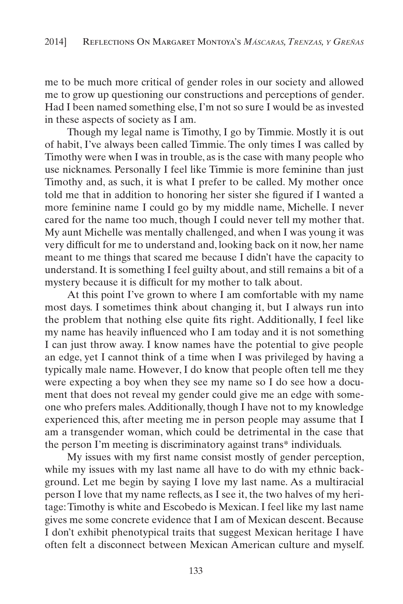me to be much more critical of gender roles in our society and allowed me to grow up questioning our constructions and perceptions of gender. Had I been named something else, I'm not so sure I would be as invested in these aspects of society as I am.

Though my legal name is Timothy, I go by Timmie. Mostly it is out of habit, I've always been called Timmie. The only times I was called by Timothy were when I was in trouble, as is the case with many people who use nicknames. Personally I feel like Timmie is more feminine than just Timothy and, as such, it is what I prefer to be called. My mother once told me that in addition to honoring her sister she figured if I wanted a more feminine name I could go by my middle name, Michelle. I never cared for the name too much, though I could never tell my mother that. My aunt Michelle was mentally challenged, and when I was young it was very difficult for me to understand and, looking back on it now, her name meant to me things that scared me because I didn't have the capacity to understand. It is something I feel guilty about, and still remains a bit of a mystery because it is difficult for my mother to talk about.

At this point I've grown to where I am comfortable with my name most days. I sometimes think about changing it, but I always run into the problem that nothing else quite fits right. Additionally, I feel like my name has heavily influenced who I am today and it is not something I can just throw away. I know names have the potential to give people an edge, yet I cannot think of a time when I was privileged by having a typically male name. However, I do know that people often tell me they were expecting a boy when they see my name so I do see how a document that does not reveal my gender could give me an edge with someone who prefers males. Additionally, though I have not to my knowledge experienced this, after meeting me in person people may assume that I am a transgender woman, which could be detrimental in the case that the person I'm meeting is discriminatory against trans\* individuals.

My issues with my first name consist mostly of gender perception, while my issues with my last name all have to do with my ethnic background. Let me begin by saying I love my last name. As a multiracial person I love that my name reflects, as I see it, the two halves of my heritage: Timothy is white and Escobedo is Mexican. I feel like my last name gives me some concrete evidence that I am of Mexican descent. Because I don't exhibit phenotypical traits that suggest Mexican heritage I have often felt a disconnect between Mexican American culture and myself.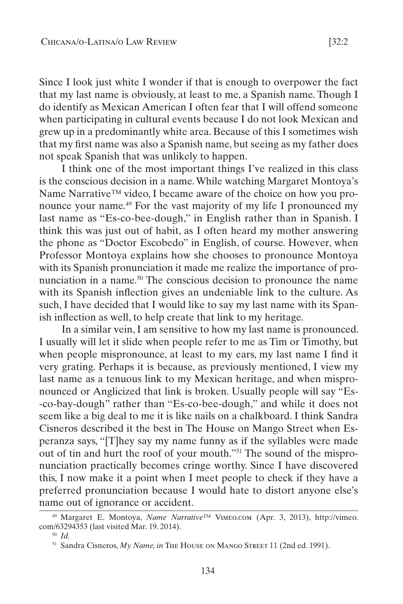Since I look just white I wonder if that is enough to overpower the fact that my last name is obviously, at least to me, a Spanish name. Though I do identify as Mexican American I often fear that I will offend someone when participating in cultural events because I do not look Mexican and grew up in a predominantly white area. Because of this I sometimes wish that my first name was also a Spanish name, but seeing as my father does not speak Spanish that was unlikely to happen.

I think one of the most important things I've realized in this class is the conscious decision in a name. While watching Margaret Montoya's Name Narrative™ video, I became aware of the choice on how you pronounce your name.<sup>49</sup> For the vast majority of my life I pronounced my last name as "Es-co-bee-dough," in English rather than in Spanish. I think this was just out of habit, as I often heard my mother answering the phone as "Doctor Escobedo" in English, of course. However, when Professor Montoya explains how she chooses to pronounce Montoya with its Spanish pronunciation it made me realize the importance of pronunciation in a name.<sup>50</sup> The conscious decision to pronounce the name with its Spanish inflection gives an undeniable link to the culture. As such, I have decided that I would like to say my last name with its Spanish inflection as well, to help create that link to my heritage.

In a similar vein, I am sensitive to how my last name is pronounced. I usually will let it slide when people refer to me as Tim or Timothy, but when people mispronounce, at least to my ears, my last name I find it very grating. Perhaps it is because, as previously mentioned, I view my last name as a tenuous link to my Mexican heritage, and when mispronounced or Anglicized that link is broken. Usually people will say "Es- -co-bay-dough" rather than "Es-co-bee-dough," and while it does not seem like a big deal to me it is like nails on a chalkboard. I think Sandra Cisneros described it the best in The House on Mango Street when Esperanza says, "[T]hey say my name funny as if the syllables were made out of tin and hurt the roof of your mouth."51 The sound of the mispronunciation practically becomes cringe worthy. Since I have discovered this, I now make it a point when I meet people to check if they have a preferred pronunciation because I would hate to distort anyone else's name out of ignorance or accident.

134

<sup>49</sup> Margaret E. Montoya, *Name Narrative*™ Vimeo.com (Apr. 3, 2013), http://vimeo. com/63294353 (last visited Mar. 19. 2014).

<sup>50</sup> *Id.*

<sup>&</sup>lt;sup>51</sup> Sandra Cisneros, *My Name*, *in* The House on MANGO STREET 11 (2nd ed. 1991).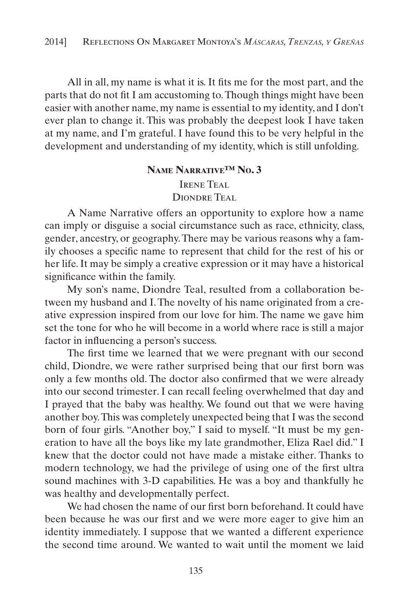All in all, my name is what it is. It fits me for the most part, and the parts that do not fit I am accustoming to. Though things might have been easier with another name, my name is essential to my identity, and I don't ever plan to change it. This was probably the deepest look I have taken at my name, and I'm grateful. I have found this to be very helpful in the development and understanding of my identity, which is still unfolding.

#### **Name Narrative™ No. 3**

IRENE TEAL DIONDRE TEAL

A Name Narrative offers an opportunity to explore how a name can imply or disguise a social circumstance such as race, ethnicity, class, gender, ancestry, or geography. There may be various reasons why a family chooses a specific name to represent that child for the rest of his or her life. It may be simply a creative expression or it may have a historical significance within the family.

My son's name, Diondre Teal, resulted from a collaboration between my husband and I. The novelty of his name originated from a creative expression inspired from our love for him. The name we gave him set the tone for who he will become in a world where race is still a major factor in influencing a person's success.

The first time we learned that we were pregnant with our second child, Diondre, we were rather surprised being that our first born was only a few months old. The doctor also confirmed that we were already into our second trimester. I can recall feeling overwhelmed that day and I prayed that the baby was healthy. We found out that we were having another boy. This was completely unexpected being that I was the second born of four girls. "Another boy," I said to myself. "It must be my generation to have all the boys like my late grandmother, Eliza Rael did." I knew that the doctor could not have made a mistake either. Thanks to modern technology, we had the privilege of using one of the first ultra sound machines with 3-D capabilities. He was a boy and thankfully he was healthy and developmentally perfect.

We had chosen the name of our first born beforehand. It could have been because he was our first and we were more eager to give him an identity immediately. I suppose that we wanted a different experience the second time around. We wanted to wait until the moment we laid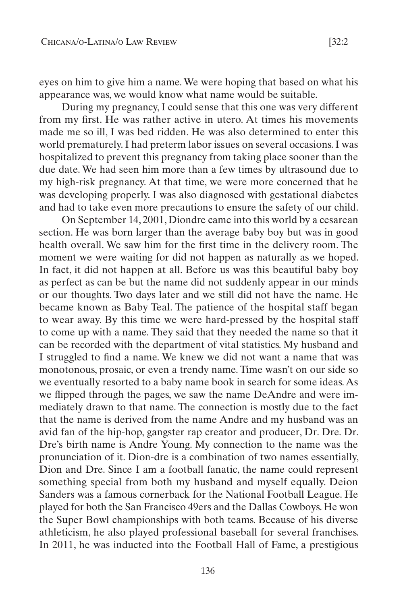eyes on him to give him a name. We were hoping that based on what his appearance was, we would know what name would be suitable.

During my pregnancy, I could sense that this one was very different from my first. He was rather active in utero. At times his movements made me so ill, I was bed ridden. He was also determined to enter this world prematurely. I had preterm labor issues on several occasions. I was hospitalized to prevent this pregnancy from taking place sooner than the due date. We had seen him more than a few times by ultrasound due to my high-risk pregnancy. At that time, we were more concerned that he was developing properly. I was also diagnosed with gestational diabetes and had to take even more precautions to ensure the safety of our child.

On September 14, 2001, Diondre came into this world by a cesarean section. He was born larger than the average baby boy but was in good health overall. We saw him for the first time in the delivery room. The moment we were waiting for did not happen as naturally as we hoped. In fact, it did not happen at all. Before us was this beautiful baby boy as perfect as can be but the name did not suddenly appear in our minds or our thoughts. Two days later and we still did not have the name. He became known as Baby Teal. The patience of the hospital staff began to wear away. By this time we were hard-pressed by the hospital staff to come up with a name. They said that they needed the name so that it can be recorded with the department of vital statistics. My husband and I struggled to find a name. We knew we did not want a name that was monotonous, prosaic, or even a trendy name. Time wasn't on our side so we eventually resorted to a baby name book in search for some ideas. As we flipped through the pages, we saw the name DeAndre and were immediately drawn to that name. The connection is mostly due to the fact that the name is derived from the name Andre and my husband was an avid fan of the hip-hop, gangster rap creator and producer, Dr. Dre. Dr. Dre's birth name is Andre Young. My connection to the name was the pronunciation of it. Dion-dre is a combination of two names essentially, Dion and Dre. Since I am a football fanatic, the name could represent something special from both my husband and myself equally. Deion Sanders was a famous cornerback for the National Football League. He played for both the San Francisco 49ers and the Dallas Cowboys. He won the Super Bowl championships with both teams. Because of his diverse athleticism, he also played professional baseball for several franchises. In 2011, he was inducted into the Football Hall of Fame, a prestigious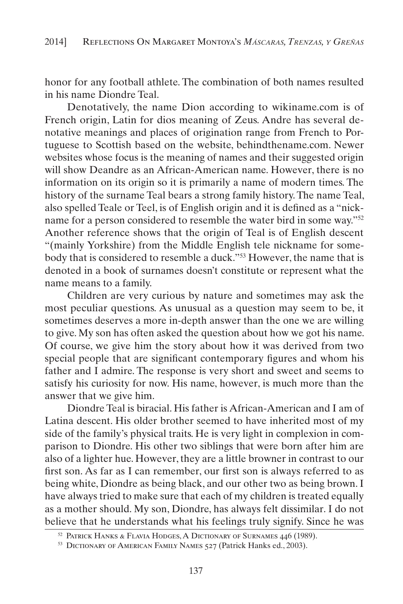honor for any football athlete. The combination of both names resulted in his name Diondre Teal.

Denotatively, the name Dion according to wikiname.com is of French origin, Latin for dios meaning of Zeus. Andre has several denotative meanings and places of origination range from French to Portuguese to Scottish based on the website, behindthename.com. Newer websites whose focus is the meaning of names and their suggested origin will show Deandre as an African-American name. However, there is no information on its origin so it is primarily a name of modern times. The history of the surname Teal bears a strong family history. The name Teal, also spelled Teale or Teel, is of English origin and it is defined as a "nickname for a person considered to resemble the water bird in some way."52 Another reference shows that the origin of Teal is of English descent "(mainly Yorkshire) from the Middle English tele nickname for somebody that is considered to resemble a duck."53 However, the name that is denoted in a book of surnames doesn't constitute or represent what the name means to a family.

Children are very curious by nature and sometimes may ask the most peculiar questions. As unusual as a question may seem to be, it sometimes deserves a more in-depth answer than the one we are willing to give. My son has often asked the question about how we got his name. Of course, we give him the story about how it was derived from two special people that are significant contemporary figures and whom his father and I admire. The response is very short and sweet and seems to satisfy his curiosity for now. His name, however, is much more than the answer that we give him.

Diondre Teal is biracial. His father is African-American and I am of Latina descent. His older brother seemed to have inherited most of my side of the family's physical traits. He is very light in complexion in comparison to Diondre. His other two siblings that were born after him are also of a lighter hue. However, they are a little browner in contrast to our first son. As far as I can remember, our first son is always referred to as being white, Diondre as being black, and our other two as being brown. I have always tried to make sure that each of my children is treated equally as a mother should. My son, Diondre, has always felt dissimilar. I do not believe that he understands what his feelings truly signify. Since he was

<sup>52</sup> Patrick Hanks & Flavia Hodges, A Dictionary of Surnames 446 (1989).

<sup>&</sup>lt;sup>53</sup> DICTIONARY OF AMERICAN FAMILY NAMES 527 (Patrick Hanks ed., 2003).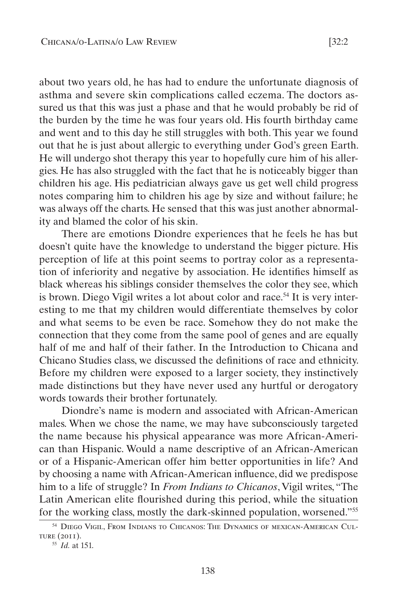about two years old, he has had to endure the unfortunate diagnosis of asthma and severe skin complications called eczema. The doctors assured us that this was just a phase and that he would probably be rid of the burden by the time he was four years old. His fourth birthday came and went and to this day he still struggles with both. This year we found out that he is just about allergic to everything under God's green Earth. He will undergo shot therapy this year to hopefully cure him of his allergies. He has also struggled with the fact that he is noticeably bigger than children his age. His pediatrician always gave us get well child progress notes comparing him to children his age by size and without failure; he was always off the charts. He sensed that this was just another abnormality and blamed the color of his skin.

There are emotions Diondre experiences that he feels he has but doesn't quite have the knowledge to understand the bigger picture. His perception of life at this point seems to portray color as a representation of inferiority and negative by association. He identifies himself as black whereas his siblings consider themselves the color they see, which is brown. Diego Vigil writes a lot about color and race.<sup>54</sup> It is very interesting to me that my children would differentiate themselves by color and what seems to be even be race. Somehow they do not make the connection that they come from the same pool of genes and are equally half of me and half of their father. In the Introduction to Chicana and Chicano Studies class, we discussed the definitions of race and ethnicity. Before my children were exposed to a larger society, they instinctively made distinctions but they have never used any hurtful or derogatory words towards their brother fortunately.

Diondre's name is modern and associated with African-American males. When we chose the name, we may have subconsciously targeted the name because his physical appearance was more African-American than Hispanic. Would a name descriptive of an African-American or of a Hispanic-American offer him better opportunities in life? And by choosing a name with African-American influence, did we predispose him to a life of struggle? In *From Indians to Chicanos*, Vigil writes, "The Latin American elite flourished during this period, while the situation for the working class, mostly the dark-skinned population, worsened."55

<sup>54</sup> Diego Vigil, From Indians to Chicanos: The Dynamics of mexican-American Culture (2011).

<sup>55</sup> *Id.* at 151.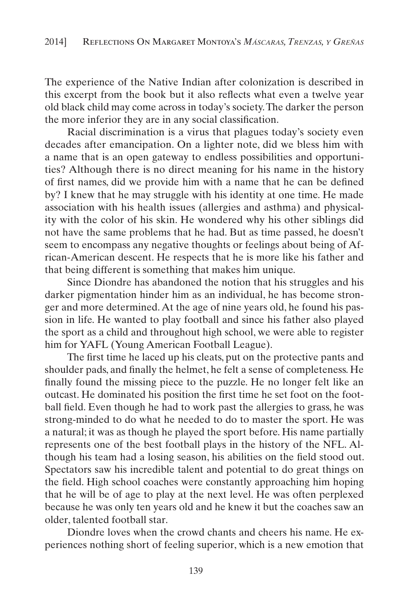The experience of the Native Indian after colonization is described in this excerpt from the book but it also reflects what even a twelve year old black child may come across in today's society. The darker the person the more inferior they are in any social classification.

Racial discrimination is a virus that plagues today's society even decades after emancipation. On a lighter note, did we bless him with a name that is an open gateway to endless possibilities and opportunities? Although there is no direct meaning for his name in the history of first names, did we provide him with a name that he can be defined by? I knew that he may struggle with his identity at one time. He made association with his health issues (allergies and asthma) and physicality with the color of his skin. He wondered why his other siblings did not have the same problems that he had. But as time passed, he doesn't seem to encompass any negative thoughts or feelings about being of African-American descent. He respects that he is more like his father and that being different is something that makes him unique.

Since Diondre has abandoned the notion that his struggles and his darker pigmentation hinder him as an individual, he has become stronger and more determined. At the age of nine years old, he found his passion in life. He wanted to play football and since his father also played the sport as a child and throughout high school, we were able to register him for YAFL (Young American Football League).

The first time he laced up his cleats, put on the protective pants and shoulder pads, and finally the helmet, he felt a sense of completeness. He finally found the missing piece to the puzzle. He no longer felt like an outcast. He dominated his position the first time he set foot on the football field. Even though he had to work past the allergies to grass, he was strong-minded to do what he needed to do to master the sport. He was a natural; it was as though he played the sport before. His name partially represents one of the best football plays in the history of the NFL. Although his team had a losing season, his abilities on the field stood out. Spectators saw his incredible talent and potential to do great things on the field. High school coaches were constantly approaching him hoping that he will be of age to play at the next level. He was often perplexed because he was only ten years old and he knew it but the coaches saw an older, talented football star.

Diondre loves when the crowd chants and cheers his name. He experiences nothing short of feeling superior, which is a new emotion that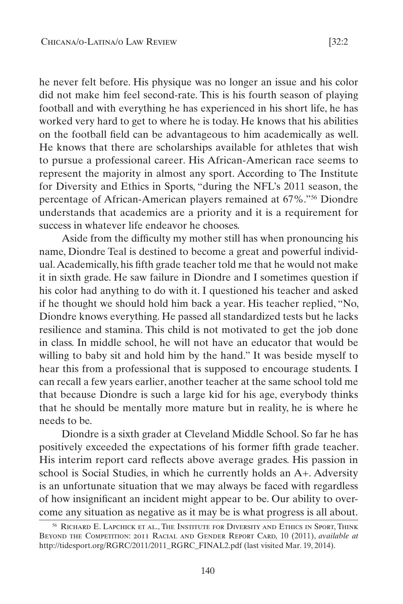he never felt before. His physique was no longer an issue and his color did not make him feel second-rate. This is his fourth season of playing football and with everything he has experienced in his short life, he has worked very hard to get to where he is today. He knows that his abilities on the football field can be advantageous to him academically as well. He knows that there are scholarships available for athletes that wish to pursue a professional career. His African-American race seems to represent the majority in almost any sport. According to The Institute for Diversity and Ethics in Sports, "during the NFL's 2011 season, the percentage of African-American players remained at 67%."56 Diondre understands that academics are a priority and it is a requirement for success in whatever life endeavor he chooses.

Aside from the difficulty my mother still has when pronouncing his name, Diondre Teal is destined to become a great and powerful individual. Academically, his fifth grade teacher told me that he would not make it in sixth grade. He saw failure in Diondre and I sometimes question if his color had anything to do with it. I questioned his teacher and asked if he thought we should hold him back a year. His teacher replied, "No, Diondre knows everything. He passed all standardized tests but he lacks resilience and stamina. This child is not motivated to get the job done in class. In middle school, he will not have an educator that would be willing to baby sit and hold him by the hand." It was beside myself to hear this from a professional that is supposed to encourage students. I can recall a few years earlier, another teacher at the same school told me that because Diondre is such a large kid for his age, everybody thinks that he should be mentally more mature but in reality, he is where he needs to be.

Diondre is a sixth grader at Cleveland Middle School. So far he has positively exceeded the expectations of his former fifth grade teacher. His interim report card reflects above average grades. His passion in school is Social Studies, in which he currently holds an A+. Adversity is an unfortunate situation that we may always be faced with regardless of how insignificant an incident might appear to be. Our ability to overcome any situation as negative as it may be is what progress is all about.

<sup>56</sup> Richard E. Lapchick et al., The Institute for Diversity and Ethics in Sport, Think Beyond the Competition: 2011 Racial and Gender Report Card*,* 10 (2011), *available at*  http://tidesport.org/RGRC/2011/2011\_RGRC\_FINAL2.pdf (last visited Mar. 19, 2014).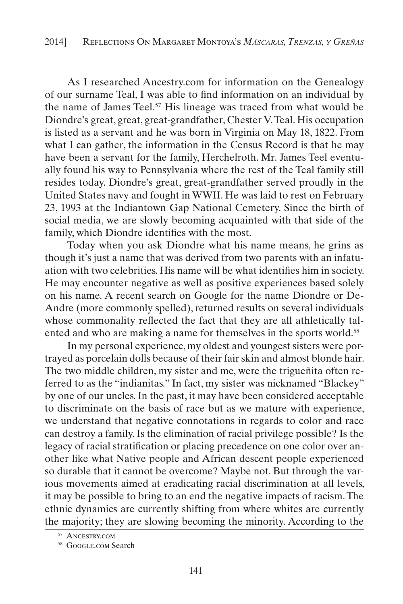As I researched Ancestry.com for information on the Genealogy of our surname Teal, I was able to find information on an individual by the name of James Teel.<sup>57</sup> His lineage was traced from what would be Diondre's great, great, great-grandfather, Chester V. Teal. His occupation is listed as a servant and he was born in Virginia on May 18, 1822. From what I can gather, the information in the Census Record is that he may have been a servant for the family, Herchelroth. Mr. James Teel eventually found his way to Pennsylvania where the rest of the Teal family still resides today. Diondre's great, great-grandfather served proudly in the United States navy and fought in WWII. He was laid to rest on February 23, 1993 at the Indiantown Gap National Cemetery. Since the birth of social media, we are slowly becoming acquainted with that side of the family, which Diondre identifies with the most.

Today when you ask Diondre what his name means, he grins as though it's just a name that was derived from two parents with an infatuation with two celebrities. His name will be what identifies him in society. He may encounter negative as well as positive experiences based solely on his name. A recent search on Google for the name Diondre or De-Andre (more commonly spelled), returned results on several individuals whose commonality reflected the fact that they are all athletically talented and who are making a name for themselves in the sports world.<sup>58</sup>

In my personal experience, my oldest and youngest sisters were portrayed as porcelain dolls because of their fair skin and almost blonde hair. The two middle children, my sister and me, were the trigueñita often referred to as the "indianitas." In fact, my sister was nicknamed "Blackey" by one of our uncles. In the past, it may have been considered acceptable to discriminate on the basis of race but as we mature with experience, we understand that negative connotations in regards to color and race can destroy a family. Is the elimination of racial privilege possible? Is the legacy of racial stratification or placing precedence on one color over another like what Native people and African descent people experienced so durable that it cannot be overcome? Maybe not. But through the various movements aimed at eradicating racial discrimination at all levels, it may be possible to bring to an end the negative impacts of racism. The ethnic dynamics are currently shifting from where whites are currently the majority; they are slowing becoming the minority. According to the

<sup>57</sup> Ancestry.com

<sup>58</sup> GOOGLE.COM Search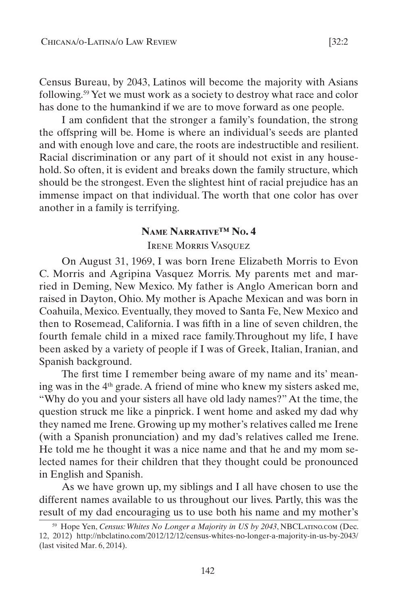Census Bureau, by 2043, Latinos will become the majority with Asians following.59 Yet we must work as a society to destroy what race and color has done to the humankind if we are to move forward as one people.

I am confident that the stronger a family's foundation, the strong the offspring will be. Home is where an individual's seeds are planted and with enough love and care, the roots are indestructible and resilient. Racial discrimination or any part of it should not exist in any household. So often, it is evident and breaks down the family structure, which should be the strongest. Even the slightest hint of racial prejudice has an immense impact on that individual. The worth that one color has over another in a family is terrifying.

#### **Name Narrative™ No. 4**

IRENE MORRIS VASOUEZ

On August 31, 1969, I was born Irene Elizabeth Morris to Evon C. Morris and Agripina Vasquez Morris. My parents met and married in Deming, New Mexico. My father is Anglo American born and raised in Dayton, Ohio. My mother is Apache Mexican and was born in Coahuila, Mexico. Eventually, they moved to Santa Fe, New Mexico and then to Rosemead, California. I was fifth in a line of seven children, the fourth female child in a mixed race family.Throughout my life, I have been asked by a variety of people if I was of Greek, Italian, Iranian, and Spanish background.

The first time I remember being aware of my name and its' meaning was in the 4th grade. A friend of mine who knew my sisters asked me, "Why do you and your sisters all have old lady names?" At the time, the question struck me like a pinprick. I went home and asked my dad why they named me Irene. Growing up my mother's relatives called me Irene (with a Spanish pronunciation) and my dad's relatives called me Irene. He told me he thought it was a nice name and that he and my mom selected names for their children that they thought could be pronounced in English and Spanish.

As we have grown up, my siblings and I all have chosen to use the different names available to us throughout our lives. Partly, this was the result of my dad encouraging us to use both his name and my mother's

<sup>&</sup>lt;sup>59</sup> Hope Yen, *Census: Whites No Longer a Majority in US by 2043*, NBCLATINO.COM (Dec. 12, 2012) http://nbclatino.com/2012/12/12/census-whites-no-longer-a-majority-in-us-by-2043/ (last visited Mar. 6, 2014).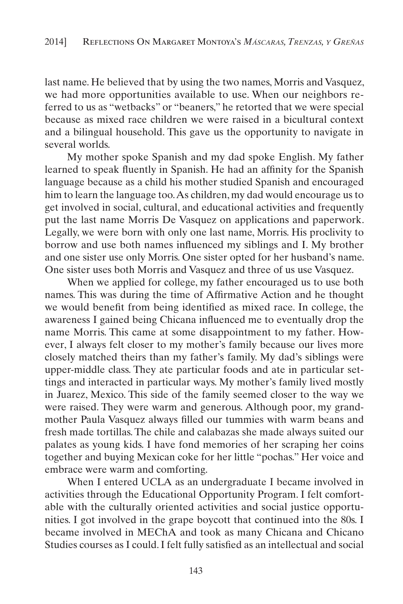last name. He believed that by using the two names, Morris and Vasquez, we had more opportunities available to use. When our neighbors referred to us as "wetbacks" or "beaners," he retorted that we were special because as mixed race children we were raised in a bicultural context and a bilingual household. This gave us the opportunity to navigate in several worlds.

My mother spoke Spanish and my dad spoke English. My father learned to speak fluently in Spanish. He had an affinity for the Spanish language because as a child his mother studied Spanish and encouraged him to learn the language too. As children, my dad would encourage us to get involved in social, cultural, and educational activities and frequently put the last name Morris De Vasquez on applications and paperwork. Legally, we were born with only one last name, Morris. His proclivity to borrow and use both names influenced my siblings and I. My brother and one sister use only Morris. One sister opted for her husband's name. One sister uses both Morris and Vasquez and three of us use Vasquez.

When we applied for college, my father encouraged us to use both names. This was during the time of Affirmative Action and he thought we would benefit from being identified as mixed race. In college, the awareness I gained being Chicana influenced me to eventually drop the name Morris. This came at some disappointment to my father. However, I always felt closer to my mother's family because our lives more closely matched theirs than my father's family. My dad's siblings were upper-middle class. They ate particular foods and ate in particular settings and interacted in particular ways. My mother's family lived mostly in Juarez, Mexico. This side of the family seemed closer to the way we were raised. They were warm and generous. Although poor, my grandmother Paula Vasquez always filled our tummies with warm beans and fresh made tortillas. The chile and calabazas she made always suited our palates as young kids. I have fond memories of her scraping her coins together and buying Mexican coke for her little "pochas." Her voice and embrace were warm and comforting.

When I entered UCLA as an undergraduate I became involved in activities through the Educational Opportunity Program. I felt comfortable with the culturally oriented activities and social justice opportunities. I got involved in the grape boycott that continued into the 80s. I became involved in MEChA and took as many Chicana and Chicano Studies courses as I could. I felt fully satisfied as an intellectual and social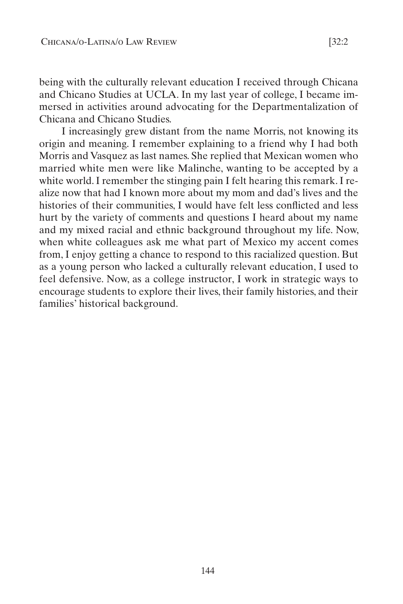being with the culturally relevant education I received through Chicana and Chicano Studies at UCLA. In my last year of college, I became immersed in activities around advocating for the Departmentalization of Chicana and Chicano Studies.

I increasingly grew distant from the name Morris, not knowing its origin and meaning. I remember explaining to a friend why I had both Morris and Vasquez as last names. She replied that Mexican women who married white men were like Malinche, wanting to be accepted by a white world. I remember the stinging pain I felt hearing this remark. I realize now that had I known more about my mom and dad's lives and the histories of their communities, I would have felt less conflicted and less hurt by the variety of comments and questions I heard about my name and my mixed racial and ethnic background throughout my life. Now, when white colleagues ask me what part of Mexico my accent comes from, I enjoy getting a chance to respond to this racialized question. But as a young person who lacked a culturally relevant education, I used to feel defensive. Now, as a college instructor, I work in strategic ways to encourage students to explore their lives, their family histories, and their families' historical background.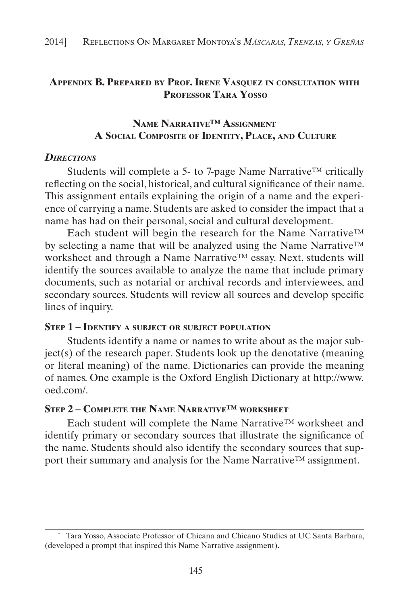# **Appendix B. Prepared by Prof. Irene Vasquez in consultation with Professor Tara Yosso**

# **Name Narrative™ Assignment A Social Composite of Identity, Place, and Culture**

#### *Directions*

Students will complete a 5- to 7-page Name Narrative™ critically reflecting on the social, historical, and cultural significance of their name. This assignment entails explaining the origin of a name and the experience of carrying a name. Students are asked to consider the impact that a name has had on their personal, social and cultural development.

Each student will begin the research for the Name Narrative™ by selecting a name that will be analyzed using the Name Narrative™ worksheet and through a Name Narrative™ essay. Next, students will identify the sources available to analyze the name that include primary documents, such as notarial or archival records and interviewees, and secondary sources. Students will review all sources and develop specific lines of inquiry.

#### **Step 1 – Identify <sup>a</sup> subject or subject population**

Students identify a name or names to write about as the major subject(s) of the research paper. Students look up the denotative (meaning or literal meaning) of the name. Dictionaries can provide the meaning of names. One example is the Oxford English Dictionary at http://www. oed.com/.

#### **Step 2 – Complete the Name Narrative™ worksheet**

Each student will complete the Name Narrative™ worksheet and identify primary or secondary sources that illustrate the significance of the name. Students should also identify the secondary sources that support their summary and analysis for the Name Narrative™ assignment.

<sup>\*</sup> Tara Yosso, Associate Professor of Chicana and Chicano Studies at UC Santa Barbara, (developed a prompt that inspired this Name Narrative assignment).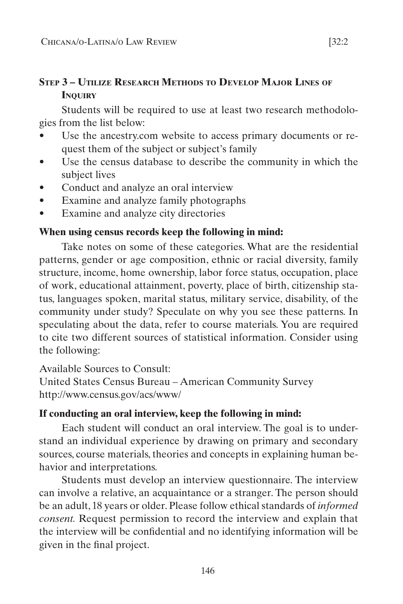# **Step 3 – Utilize Research Methods to Develop Major Lines of Inquiry**

Students will be required to use at least two research methodologies from the list below:

- Use the ancestry.com website to access primary documents or request them of the subject or subject's family
- Use the census database to describe the community in which the subject lives
- Conduct and analyze an oral interview
- Examine and analyze family photographs
- Examine and analyze city directories

#### **When using census records keep the following in mind:**

Take notes on some of these categories. What are the residential patterns, gender or age composition, ethnic or racial diversity, family structure, income, home ownership, labor force status, occupation, place of work, educational attainment, poverty, place of birth, citizenship status, languages spoken, marital status, military service, disability, of the community under study? Speculate on why you see these patterns. In speculating about the data, refer to course materials. You are required to cite two different sources of statistical information. Consider using the following:

Available Sources to Consult:

United States Census Bureau – American Community Survey http://www.census.gov/acs/www/

#### **If conducting an oral interview, keep the following in mind:**

Each student will conduct an oral interview. The goal is to understand an individual experience by drawing on primary and secondary sources, course materials, theories and concepts in explaining human behavior and interpretations.

Students must develop an interview questionnaire. The interview can involve a relative, an acquaintance or a stranger. The person should be an adult, 18 years or older. Please follow ethical standards of *informed consent.* Request permission to record the interview and explain that the interview will be confidential and no identifying information will be given in the final project.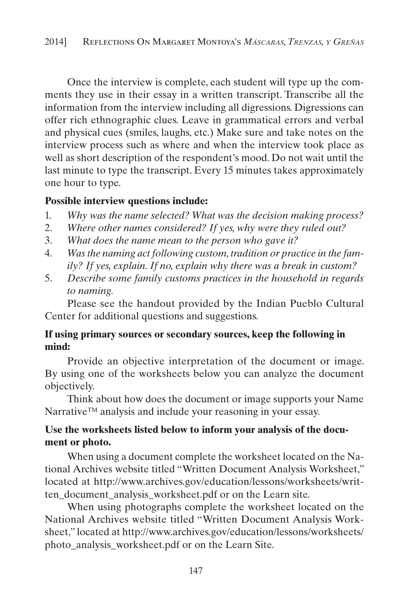Once the interview is complete, each student will type up the comments they use in their essay in a written transcript. Transcribe all the information from the interview including all digressions. Digressions can offer rich ethnographic clues. Leave in grammatical errors and verbal and physical cues (smiles, laughs, etc.) Make sure and take notes on the interview process such as where and when the interview took place as well as short description of the respondent's mood. Do not wait until the last minute to type the transcript. Every 15 minutes takes approximately one hour to type.

# **Possible interview questions include:**

- 1. *Why was the name selected? What was the decision making process?*
- 2. *Where other names considered? If yes, why were they ruled out?*
- 3. *What does the name mean to the person who gave it?*
- 4. *Was the naming act following custom, tradition or practice in the family? If yes, explain. If no, explain why there was a break in custom?*
- 5. *Describe some family customs practices in the household in regards to naming.*

Please see the handout provided by the Indian Pueblo Cultural Center for additional questions and suggestions.

# **If using primary sources or secondary sources, keep the following in mind:**

Provide an objective interpretation of the document or image. By using one of the worksheets below you can analyze the document objectively.

Think about how does the document or image supports your Name Narrative™ analysis and include your reasoning in your essay.

# **Use the worksheets listed below to inform your analysis of the document or photo.**

When using a document complete the worksheet located on the National Archives website titled "Written Document Analysis Worksheet," located at http://www.archives.gov/education/lessons/worksheets/written\_document\_analysis\_worksheet.pdf or on the Learn site.

When using photographs complete the worksheet located on the National Archives website titled "Written Document Analysis Worksheet," located at http://www.archives.gov/education/lessons/worksheets/ photo\_analysis\_worksheet.pdf or on the Learn Site.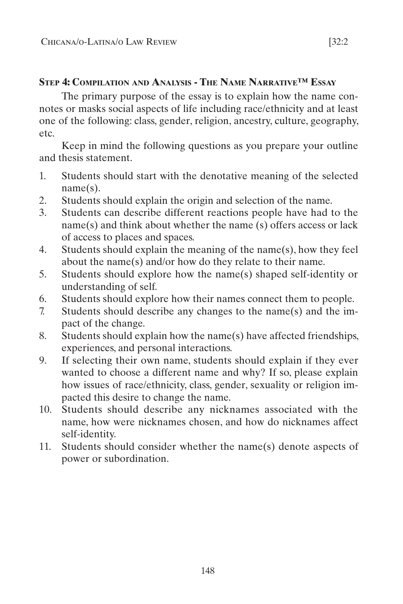#### **Step 4: Compilation and Analysis - The Name Narrative™ Essay**

The primary purpose of the essay is to explain how the name connotes or masks social aspects of life including race/ethnicity and at least one of the following: class, gender, religion, ancestry, culture, geography, etc.

Keep in mind the following questions as you prepare your outline and thesis statement.

- 1. Students should start with the denotative meaning of the selected name(s).
- 2. Students should explain the origin and selection of the name.
- 3. Students can describe different reactions people have had to the name(s) and think about whether the name (s) offers access or lack of access to places and spaces.
- 4. Students should explain the meaning of the name(s), how they feel about the name(s) and/or how do they relate to their name.
- 5. Students should explore how the name(s) shaped self-identity or understanding of self.
- 6. Students should explore how their names connect them to people.
- 7. Students should describe any changes to the name(s) and the impact of the change.
- 8. Students should explain how the name(s) have affected friendships, experiences, and personal interactions.
- 9. If selecting their own name, students should explain if they ever wanted to choose a different name and why? If so, please explain how issues of race/ethnicity, class, gender, sexuality or religion impacted this desire to change the name.
- 10. Students should describe any nicknames associated with the name, how were nicknames chosen, and how do nicknames affect self-identity.
- 11. Students should consider whether the name(s) denote aspects of power or subordination.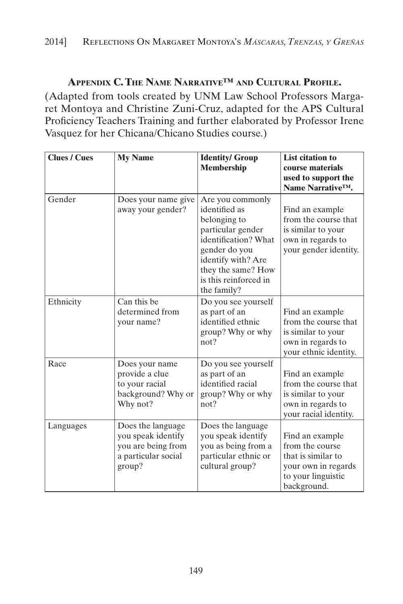# **Appendix C. The Name Narrative™ and Cultural Profile.**

(Adapted from tools created by UNM Law School Professors Margaret Montoya and Christine Zuni-Cruz, adapted for the APS Cultural Proficiency Teachers Training and further elaborated by Professor Irene Vasquez for her Chicana/Chicano Studies course.)

| <b>Clues / Cues</b> | <b>My Name</b>                                                                                 | <b>Identity/ Group</b><br><b>Membership</b>                                                                                                                                                         | <b>List citation to</b><br>course materials<br>used to support the<br>Name Narrative <sup>TM</sup> .                 |
|---------------------|------------------------------------------------------------------------------------------------|-----------------------------------------------------------------------------------------------------------------------------------------------------------------------------------------------------|----------------------------------------------------------------------------------------------------------------------|
| Gender              | Does your name give<br>away your gender?                                                       | Are you commonly<br>identified as<br>belonging to<br>particular gender<br>identification? What<br>gender do you<br>identify with? Are<br>they the same? How<br>is this reinforced in<br>the family? | Find an example<br>from the course that<br>is similar to your<br>own in regards to<br>your gender identity.          |
| Ethnicity           | Can this be<br>determined from<br>your name?                                                   | Do you see yourself<br>as part of an<br>identified ethnic<br>group? Why or why<br>not?                                                                                                              | Find an example<br>from the course that<br>is similar to your<br>own in regards to<br>your ethnic identity.          |
| Race                | Does your name<br>provide a clue<br>to your racial<br>background? Why or<br>Why not?           | Do you see yourself<br>as part of an<br>identified racial<br>group? Why or why<br>not?                                                                                                              | Find an example<br>from the course that<br>is similar to your<br>own in regards to<br>your racial identity.          |
| Languages           | Does the language<br>you speak identify<br>you are being from<br>a particular social<br>group? | Does the language<br>you speak identify<br>you as being from a<br>particular ethnic or<br>cultural group?                                                                                           | Find an example<br>from the course<br>that is similar to<br>your own in regards<br>to your linguistic<br>background. |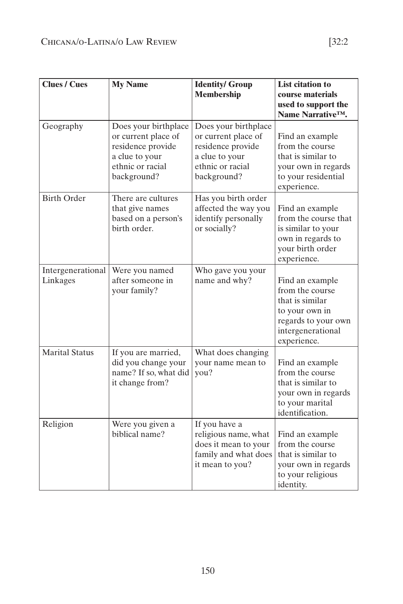| <b>Clues / Cues</b>           | <b>My Name</b>                                                                                                        | <b>Identity/ Group</b><br><b>Membership</b>                                                                           | <b>List citation to</b><br>course materials<br>used to support the<br>Name Narrative <sup>™.</sup>                                 |
|-------------------------------|-----------------------------------------------------------------------------------------------------------------------|-----------------------------------------------------------------------------------------------------------------------|------------------------------------------------------------------------------------------------------------------------------------|
| Geography                     | Does your birthplace<br>or current place of<br>residence provide<br>a clue to your<br>ethnic or racial<br>background? | Does your birthplace<br>or current place of<br>residence provide<br>a clue to your<br>ethnic or racial<br>background? | Find an example<br>from the course<br>that is similar to<br>your own in regards<br>to your residential<br>experience.              |
| <b>Birth Order</b>            | There are cultures<br>that give names<br>based on a person's<br>birth order.                                          | Has you birth order<br>affected the way you<br>identify personally<br>or socially?                                    | Find an example<br>from the course that<br>is similar to your<br>own in regards to<br>your birth order<br>experience.              |
| Intergenerational<br>Linkages | Were you named<br>after someone in<br>your family?                                                                    | Who gave you your<br>name and why?                                                                                    | Find an example<br>from the course<br>that is similar<br>to your own in<br>regards to your own<br>intergenerational<br>experience. |
| <b>Marital Status</b>         | If you are married,<br>did you change your<br>name? If so, what did<br>it change from?                                | What does changing<br>your name mean to<br>you?                                                                       | Find an example<br>from the course<br>that is similar to<br>your own in regards<br>to your marital<br>identification.              |
| Religion                      | Were you given a<br>biblical name?                                                                                    | If you have a<br>religious name, what<br>does it mean to your<br>family and what does<br>it mean to you?              | Find an example<br>from the course<br>that is similar to<br>your own in regards<br>to your religious<br>identity.                  |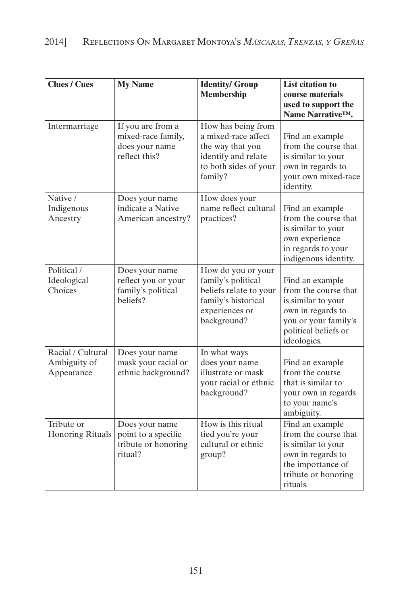| <b>Clues / Cues</b>                             | <b>My Name</b>                                                             | <b>Identity/ Group</b><br><b>Membership</b>                                                                                | <b>List citation to</b><br>course materials<br>used to support the<br>Name Narrative <sup>™</sup> .                                               |
|-------------------------------------------------|----------------------------------------------------------------------------|----------------------------------------------------------------------------------------------------------------------------|---------------------------------------------------------------------------------------------------------------------------------------------------|
| Intermarriage                                   | If you are from a<br>mixed-race family,<br>does your name<br>reflect this? | How has being from<br>a mixed-race affect<br>the way that you<br>identify and relate<br>to both sides of your<br>family?   | Find an example<br>from the course that<br>is similar to your<br>own in regards to<br>your own mixed-race<br>identity.                            |
| Native /<br>Indigenous<br>Ancestry              | Does your name<br>indicate a Native<br>American ancestry?                  | How does your<br>name reflect cultural<br>practices?                                                                       | Find an example<br>from the course that<br>is similar to your<br>own experience<br>in regards to your<br>indigenous identity.                     |
| Political /<br>Ideological<br>Choices           | Does your name<br>reflect you or your<br>family's political<br>beliefs?    | How do you or your<br>family's political<br>beliefs relate to your<br>family's historical<br>experiences or<br>background? | Find an example<br>from the course that<br>is similar to your<br>own in regards to<br>you or your family's<br>political beliefs or<br>ideologies. |
| Racial / Cultural<br>Ambiguity of<br>Appearance | Does your name<br>mask your racial or<br>ethnic background?                | In what ways<br>does your name<br>illustrate or mask<br>your racial or ethnic<br>background?                               | Find an example<br>from the course<br>that is similar to<br>your own in regards<br>to your name's<br>ambiguity.                                   |
| Tribute or<br><b>Honoring Rituals</b>           | Does your name<br>point to a specific<br>tribute or honoring<br>ritual?    | How is this ritual<br>tied you're your<br>cultural or ethnic<br>group?                                                     | Find an example<br>from the course that<br>is similar to your<br>own in regards to<br>the importance of<br>tribute or honoring<br>rituals.        |